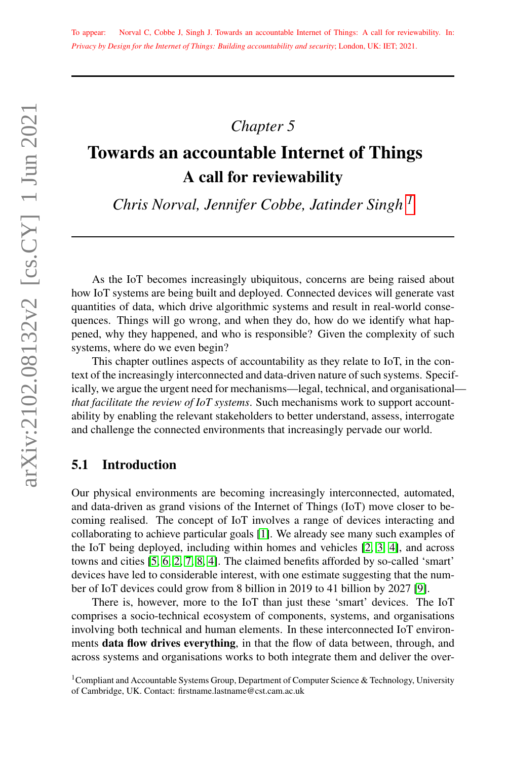## *Chapter 5*

# Towards an accountable Internet of Things A call for reviewability

*Chris Norval, Jennifer Cobbe, Jatinder Singh [1](#page-0-0)*

As the IoT becomes increasingly ubiquitous, concerns are being raised about how IoT systems are being built and deployed. Connected devices will generate vast quantities of data, which drive algorithmic systems and result in real-world consequences. Things will go wrong, and when they do, how do we identify what happened, why they happened, and who is responsible? Given the complexity of such systems, where do we even begin?

This chapter outlines aspects of accountability as they relate to IoT, in the context of the increasingly interconnected and data-driven nature of such systems. Specifically, we argue the urgent need for mechanisms—legal, technical, and organisational *that facilitate the review of IoT systems*. Such mechanisms work to support accountability by enabling the relevant stakeholders to better understand, assess, interrogate and challenge the connected environments that increasingly pervade our world.

#### 5.1 Introduction

Our physical environments are becoming increasingly interconnected, automated, and data-driven as grand visions of the Internet of Things (IoT) move closer to becoming realised. The concept of IoT involves a range of devices interacting and collaborating to achieve particular goals [\[1\]](#page-24-0). We already see many such examples of the IoT being deployed, including within homes and vehicles [\[2,](#page-24-1) [3,](#page-24-2) [4\]](#page-24-3), and across towns and cities [\[5,](#page-24-4) [6,](#page-24-5) [2,](#page-24-1) [7,](#page-24-6) [8,](#page-25-0) [4\]](#page-24-3). The claimed benefits afforded by so-called 'smart' devices have led to considerable interest, with one estimate suggesting that the number of IoT devices could grow from 8 billion in 2019 to 41 billion by 2027 [\[9\]](#page-25-1).

There is, however, more to the IoT than just these 'smart' devices. The IoT comprises a socio-technical ecosystem of components, systems, and organisations involving both technical and human elements. In these interconnected IoT environments **data flow drives everything**, in that the flow of data between, through, and across systems and organisations works to both integrate them and deliver the over-

<span id="page-0-0"></span><sup>&</sup>lt;sup>1</sup> Compliant and Accountable Systems Group, Department of Computer Science & Technology, University of Cambridge, UK. Contact: firstname.lastname@cst.cam.ac.uk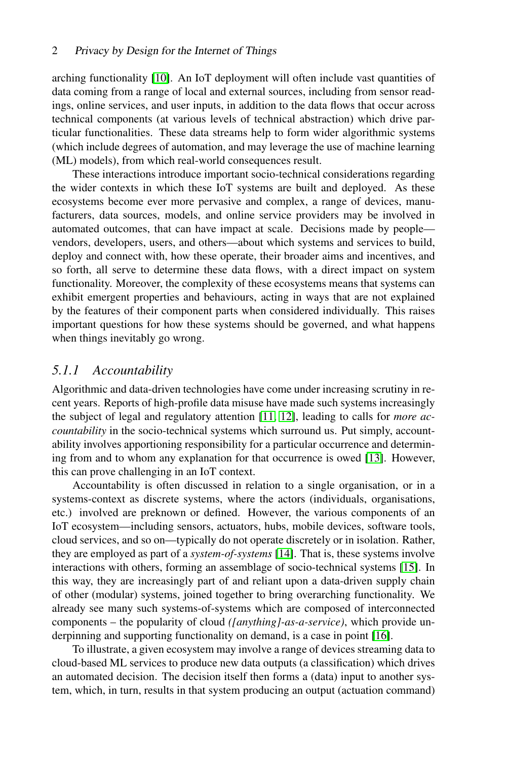arching functionality [\[10\]](#page-25-2). An IoT deployment will often include vast quantities of data coming from a range of local and external sources, including from sensor readings, online services, and user inputs, in addition to the data flows that occur across technical components (at various levels of technical abstraction) which drive particular functionalities. These data streams help to form wider algorithmic systems (which include degrees of automation, and may leverage the use of machine learning (ML) models), from which real-world consequences result.

These interactions introduce important socio-technical considerations regarding the wider contexts in which these IoT systems are built and deployed. As these ecosystems become ever more pervasive and complex, a range of devices, manufacturers, data sources, models, and online service providers may be involved in automated outcomes, that can have impact at scale. Decisions made by people vendors, developers, users, and others—about which systems and services to build, deploy and connect with, how these operate, their broader aims and incentives, and so forth, all serve to determine these data flows, with a direct impact on system functionality. Moreover, the complexity of these ecosystems means that systems can exhibit emergent properties and behaviours, acting in ways that are not explained by the features of their component parts when considered individually. This raises important questions for how these systems should be governed, and what happens when things inevitably go wrong.

#### *5.1.1 Accountability*

Algorithmic and data-driven technologies have come under increasing scrutiny in recent years. Reports of high-profile data misuse have made such systems increasingly the subject of legal and regulatory attention [\[11,](#page-25-3) [12\]](#page-25-4), leading to calls for *more accountability* in the socio-technical systems which surround us. Put simply, accountability involves apportioning responsibility for a particular occurrence and determining from and to whom any explanation for that occurrence is owed [\[13\]](#page-25-5). However, this can prove challenging in an IoT context.

Accountability is often discussed in relation to a single organisation, or in a systems-context as discrete systems, where the actors (individuals, organisations, etc.) involved are preknown or defined. However, the various components of an IoT ecosystem—including sensors, actuators, hubs, mobile devices, software tools, cloud services, and so on—typically do not operate discretely or in isolation. Rather, they are employed as part of a *system-of-systems* [\[14\]](#page-25-6). That is, these systems involve interactions with others, forming an assemblage of socio-technical systems [\[15\]](#page-25-7). In this way, they are increasingly part of and reliant upon a data-driven supply chain of other (modular) systems, joined together to bring overarching functionality. We already see many such systems-of-systems which are composed of interconnected components – the popularity of cloud *([anything]-as-a-service)*, which provide underpinning and supporting functionality on demand, is a case in point [\[16\]](#page-25-8).

To illustrate, a given ecosystem may involve a range of devices streaming data to cloud-based ML services to produce new data outputs (a classification) which drives an automated decision. The decision itself then forms a (data) input to another system, which, in turn, results in that system producing an output (actuation command)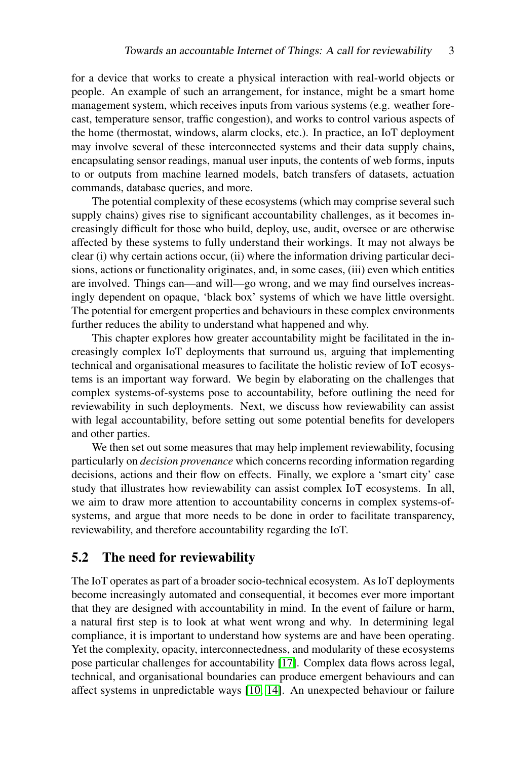for a device that works to create a physical interaction with real-world objects or people. An example of such an arrangement, for instance, might be a smart home management system, which receives inputs from various systems (e.g. weather forecast, temperature sensor, traffic congestion), and works to control various aspects of the home (thermostat, windows, alarm clocks, etc.). In practice, an IoT deployment may involve several of these interconnected systems and their data supply chains, encapsulating sensor readings, manual user inputs, the contents of web forms, inputs to or outputs from machine learned models, batch transfers of datasets, actuation commands, database queries, and more.

The potential complexity of these ecosystems (which may comprise several such supply chains) gives rise to significant accountability challenges, as it becomes increasingly difficult for those who build, deploy, use, audit, oversee or are otherwise affected by these systems to fully understand their workings. It may not always be clear (i) why certain actions occur, (ii) where the information driving particular decisions, actions or functionality originates, and, in some cases, (iii) even which entities are involved. Things can—and will—go wrong, and we may find ourselves increasingly dependent on opaque, 'black box' systems of which we have little oversight. The potential for emergent properties and behaviours in these complex environments further reduces the ability to understand what happened and why.

This chapter explores how greater accountability might be facilitated in the increasingly complex IoT deployments that surround us, arguing that implementing technical and organisational measures to facilitate the holistic review of IoT ecosystems is an important way forward. We begin by elaborating on the challenges that complex systems-of-systems pose to accountability, before outlining the need for reviewability in such deployments. Next, we discuss how reviewability can assist with legal accountability, before setting out some potential benefits for developers and other parties.

We then set out some measures that may help implement reviewability, focusing particularly on *decision provenance* which concerns recording information regarding decisions, actions and their flow on effects. Finally, we explore a 'smart city' case study that illustrates how reviewability can assist complex IoT ecosystems. In all, we aim to draw more attention to accountability concerns in complex systems-ofsystems, and argue that more needs to be done in order to facilitate transparency, reviewability, and therefore accountability regarding the IoT.

#### <span id="page-2-0"></span>5.2 The need for reviewability

The IoT operates as part of a broader socio-technical ecosystem. As IoT deployments become increasingly automated and consequential, it becomes ever more important that they are designed with accountability in mind. In the event of failure or harm, a natural first step is to look at what went wrong and why. In determining legal compliance, it is important to understand how systems are and have been operating. Yet the complexity, opacity, interconnectedness, and modularity of these ecosystems pose particular challenges for accountability [\[17\]](#page-25-9). Complex data flows across legal, technical, and organisational boundaries can produce emergent behaviours and can affect systems in unpredictable ways [\[10,](#page-25-2) [14\]](#page-25-6). An unexpected behaviour or failure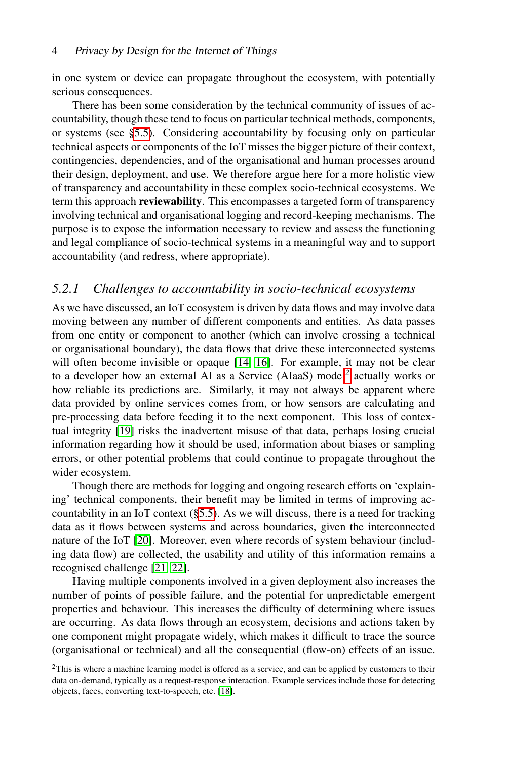in one system or device can propagate throughout the ecosystem, with potentially serious consequences.

There has been some consideration by the technical community of issues of accountability, though these tend to focus on particular technical methods, components, or systems (see [§5.5\)](#page-12-0). Considering accountability by focusing only on particular technical aspects or components of the IoT misses the bigger picture of their context, contingencies, dependencies, and of the organisational and human processes around their design, deployment, and use. We therefore argue here for a more holistic view of transparency and accountability in these complex socio-technical ecosystems. We term this approach reviewability. This encompasses a targeted form of transparency involving technical and organisational logging and record-keeping mechanisms. The purpose is to expose the information necessary to review and assess the functioning and legal compliance of socio-technical systems in a meaningful way and to support accountability (and redress, where appropriate).

#### *5.2.1 Challenges to accountability in socio-technical ecosystems*

As we have discussed, an IoT ecosystem is driven by data flows and may involve data moving between any number of different components and entities. As data passes from one entity or component to another (which can involve crossing a technical or organisational boundary), the data flows that drive these interconnected systems will often become invisible or opaque [\[14,](#page-25-6) [16\]](#page-25-8). For example, it may not be clear to a developer how an external AI as a Service (AIaaS) model*[2](#page-3-0)* actually works or how reliable its predictions are. Similarly, it may not always be apparent where data provided by online services comes from, or how sensors are calculating and pre-processing data before feeding it to the next component. This loss of contextual integrity [\[19\]](#page-25-10) risks the inadvertent misuse of that data, perhaps losing crucial information regarding how it should be used, information about biases or sampling errors, or other potential problems that could continue to propagate throughout the wider ecosystem.

Though there are methods for logging and ongoing research efforts on 'explaining' technical components, their benefit may be limited in terms of improving accountability in an IoT context ([§5.5\)](#page-12-0). As we will discuss, there is a need for tracking data as it flows between systems and across boundaries, given the interconnected nature of the IoT [\[20\]](#page-25-11). Moreover, even where records of system behaviour (including data flow) are collected, the usability and utility of this information remains a recognised challenge [\[21,](#page-25-12) [22\]](#page-25-13).

Having multiple components involved in a given deployment also increases the number of points of possible failure, and the potential for unpredictable emergent properties and behaviour. This increases the difficulty of determining where issues are occurring. As data flows through an ecosystem, decisions and actions taken by one component might propagate widely, which makes it difficult to trace the source (organisational or technical) and all the consequential (flow-on) effects of an issue.

<span id="page-3-0"></span> $2$ This is where a machine learning model is offered as a service, and can be applied by customers to their data on-demand, typically as a request-response interaction. Example services include those for detecting objects, faces, converting text-to-speech, etc. [\[18\]](#page-25-14).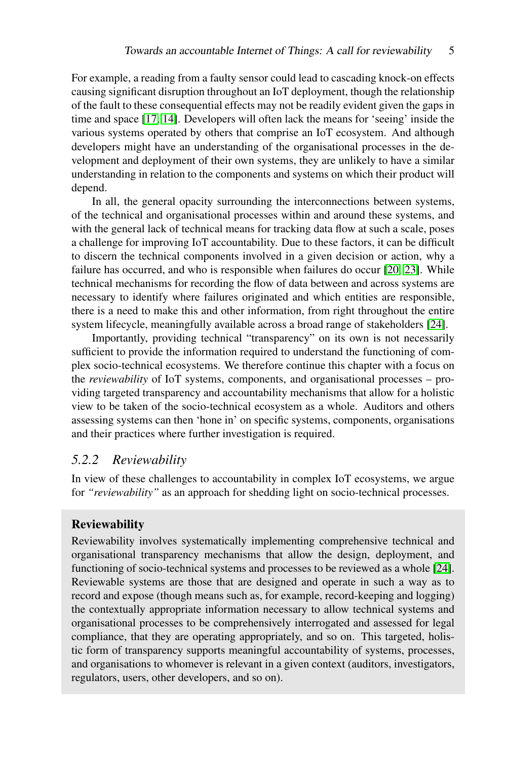For example, a reading from a faulty sensor could lead to cascading knock-on effects causing significant disruption throughout an IoT deployment, though the relationship of the fault to these consequential effects may not be readily evident given the gaps in time and space [\[17,](#page-25-9) [14\]](#page-25-6). Developers will often lack the means for 'seeing' inside the various systems operated by others that comprise an IoT ecosystem. And although developers might have an understanding of the organisational processes in the development and deployment of their own systems, they are unlikely to have a similar understanding in relation to the components and systems on which their product will depend.

In all, the general opacity surrounding the interconnections between systems, of the technical and organisational processes within and around these systems, and with the general lack of technical means for tracking data flow at such a scale, poses a challenge for improving IoT accountability. Due to these factors, it can be difficult to discern the technical components involved in a given decision or action, why a failure has occurred, and who is responsible when failures do occur [\[20,](#page-25-11) [23\]](#page-26-0). While technical mechanisms for recording the flow of data between and across systems are necessary to identify where failures originated and which entities are responsible, there is a need to make this and other information, from right throughout the entire system lifecycle, meaningfully available across a broad range of stakeholders [\[24\]](#page-26-1).

Importantly, providing technical "transparency" on its own is not necessarily sufficient to provide the information required to understand the functioning of complex socio-technical ecosystems. We therefore continue this chapter with a focus on the *reviewability* of IoT systems, components, and organisational processes – providing targeted transparency and accountability mechanisms that allow for a holistic view to be taken of the socio-technical ecosystem as a whole. Auditors and others assessing systems can then 'hone in' on specific systems, components, organisations and their practices where further investigation is required.

#### *5.2.2 Reviewability*

In view of these challenges to accountability in complex IoT ecosystems, we argue for *"reviewability"* as an approach for shedding light on socio-technical processes.

#### Reviewability

Reviewability involves systematically implementing comprehensive technical and organisational transparency mechanisms that allow the design, deployment, and functioning of socio-technical systems and processes to be reviewed as a whole [\[24\]](#page-26-1). Reviewable systems are those that are designed and operate in such a way as to record and expose (though means such as, for example, record-keeping and logging) the contextually appropriate information necessary to allow technical systems and organisational processes to be comprehensively interrogated and assessed for legal compliance, that they are operating appropriately, and so on. This targeted, holistic form of transparency supports meaningful accountability of systems, processes, and organisations to whomever is relevant in a given context (auditors, investigators, regulators, users, other developers, and so on).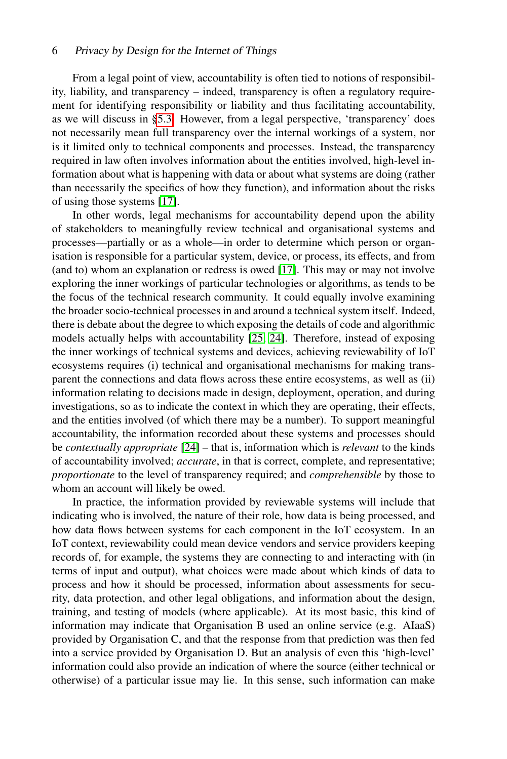#### 6 Privacy by Design for the Internet of Things

From a legal point of view, accountability is often tied to notions of responsibility, liability, and transparency – indeed, transparency is often a regulatory requirement for identifying responsibility or liability and thus facilitating accountability, as we will discuss in [§5.3.](#page-6-0) However, from a legal perspective, 'transparency' does not necessarily mean full transparency over the internal workings of a system, nor is it limited only to technical components and processes. Instead, the transparency required in law often involves information about the entities involved, high-level information about what is happening with data or about what systems are doing (rather than necessarily the specifics of how they function), and information about the risks of using those systems [\[17\]](#page-25-9).

In other words, legal mechanisms for accountability depend upon the ability of stakeholders to meaningfully review technical and organisational systems and processes—partially or as a whole—in order to determine which person or organisation is responsible for a particular system, device, or process, its effects, and from (and to) whom an explanation or redress is owed [\[17\]](#page-25-9). This may or may not involve exploring the inner workings of particular technologies or algorithms, as tends to be the focus of the technical research community. It could equally involve examining the broader socio-technical processes in and around a technical system itself. Indeed, there is debate about the degree to which exposing the details of code and algorithmic models actually helps with accountability [\[25,](#page-26-2) [24\]](#page-26-1). Therefore, instead of exposing the inner workings of technical systems and devices, achieving reviewability of IoT ecosystems requires (i) technical and organisational mechanisms for making transparent the connections and data flows across these entire ecosystems, as well as (ii) information relating to decisions made in design, deployment, operation, and during investigations, so as to indicate the context in which they are operating, their effects, and the entities involved (of which there may be a number). To support meaningful accountability, the information recorded about these systems and processes should be *contextually appropriate* [\[24\]](#page-26-1) – that is, information which is *relevant* to the kinds of accountability involved; *accurate*, in that is correct, complete, and representative; *proportionate* to the level of transparency required; and *comprehensible* by those to whom an account will likely be owed.

In practice, the information provided by reviewable systems will include that indicating who is involved, the nature of their role, how data is being processed, and how data flows between systems for each component in the IoT ecosystem. In an IoT context, reviewability could mean device vendors and service providers keeping records of, for example, the systems they are connecting to and interacting with (in terms of input and output), what choices were made about which kinds of data to process and how it should be processed, information about assessments for security, data protection, and other legal obligations, and information about the design, training, and testing of models (where applicable). At its most basic, this kind of information may indicate that Organisation B used an online service (e.g. AIaaS) provided by Organisation C, and that the response from that prediction was then fed into a service provided by Organisation D. But an analysis of even this 'high-level' information could also provide an indication of where the source (either technical or otherwise) of a particular issue may lie. In this sense, such information can make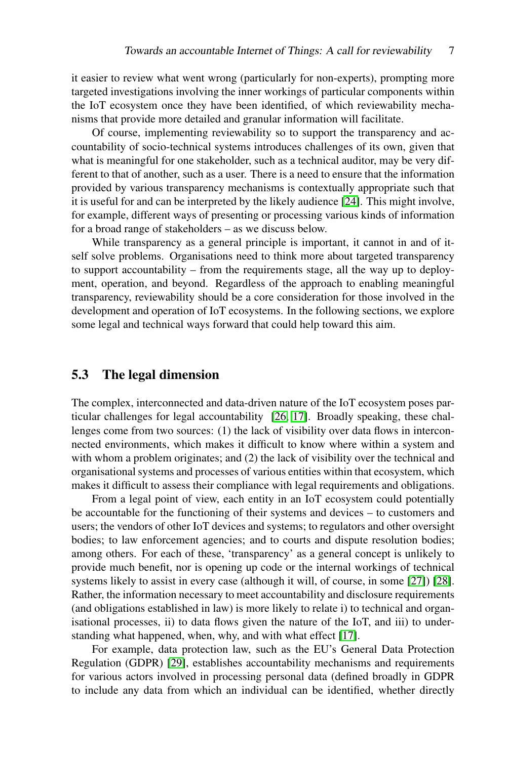it easier to review what went wrong (particularly for non-experts), prompting more targeted investigations involving the inner workings of particular components within the IoT ecosystem once they have been identified, of which reviewability mechanisms that provide more detailed and granular information will facilitate.

Of course, implementing reviewability so to support the transparency and accountability of socio-technical systems introduces challenges of its own, given that what is meaningful for one stakeholder, such as a technical auditor, may be very different to that of another, such as a user. There is a need to ensure that the information provided by various transparency mechanisms is contextually appropriate such that it is useful for and can be interpreted by the likely audience [\[24\]](#page-26-1). This might involve, for example, different ways of presenting or processing various kinds of information for a broad range of stakeholders – as we discuss below.

While transparency as a general principle is important, it cannot in and of itself solve problems. Organisations need to think more about targeted transparency to support accountability – from the requirements stage, all the way up to deployment, operation, and beyond. Regardless of the approach to enabling meaningful transparency, reviewability should be a core consideration for those involved in the development and operation of IoT ecosystems. In the following sections, we explore some legal and technical ways forward that could help toward this aim.

## <span id="page-6-0"></span>5.3 The legal dimension

The complex, interconnected and data-driven nature of the IoT ecosystem poses particular challenges for legal accountability [\[26,](#page-26-3) [17\]](#page-25-9). Broadly speaking, these challenges come from two sources: (1) the lack of visibility over data flows in interconnected environments, which makes it difficult to know where within a system and with whom a problem originates; and (2) the lack of visibility over the technical and organisational systems and processes of various entities within that ecosystem, which makes it difficult to assess their compliance with legal requirements and obligations.

From a legal point of view, each entity in an IoT ecosystem could potentially be accountable for the functioning of their systems and devices – to customers and users; the vendors of other IoT devices and systems; to regulators and other oversight bodies; to law enforcement agencies; and to courts and dispute resolution bodies; among others. For each of these, 'transparency' as a general concept is unlikely to provide much benefit, nor is opening up code or the internal workings of technical systems likely to assist in every case (although it will, of course, in some [\[27\]](#page-26-4)) [\[28\]](#page-26-5). Rather, the information necessary to meet accountability and disclosure requirements (and obligations established in law) is more likely to relate i) to technical and organisational processes, ii) to data flows given the nature of the IoT, and iii) to understanding what happened, when, why, and with what effect [\[17\]](#page-25-9).

For example, data protection law, such as the EU's General Data Protection Regulation (GDPR) [\[29\]](#page-26-6), establishes accountability mechanisms and requirements for various actors involved in processing personal data (defined broadly in GDPR to include any data from which an individual can be identified, whether directly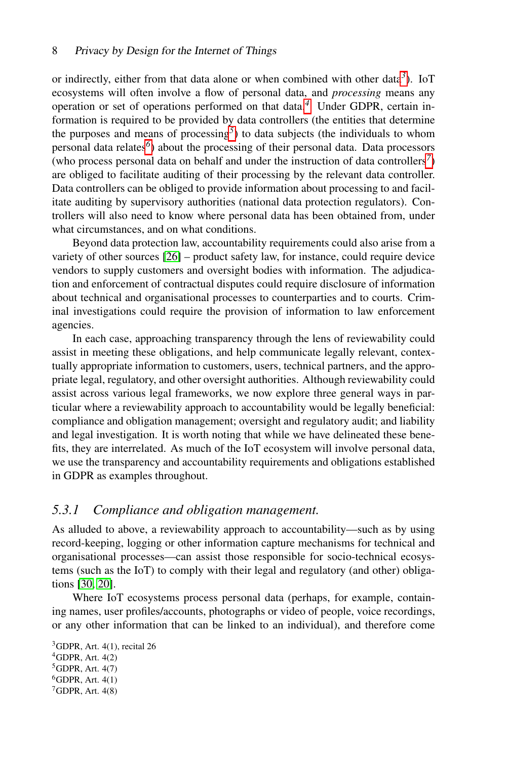or indirectly, either from that data alone or when combined with other data*[3](#page-7-0)* ). IoT ecosystems will often involve a flow of personal data, and *processing* means any operation or set of operations performed on that data.*[4](#page-7-1)* Under GDPR, certain information is required to be provided by data controllers (the entities that determine the purposes and means of processing*[5](#page-7-2)* ) to data subjects (the individuals to whom personal data relates*[6](#page-7-3)* ) about the processing of their personal data. Data processors (who process personal data on behalf and under the instruction of data controllers*[7](#page-7-4)* ) are obliged to facilitate auditing of their processing by the relevant data controller. Data controllers can be obliged to provide information about processing to and facilitate auditing by supervisory authorities (national data protection regulators). Controllers will also need to know where personal data has been obtained from, under what circumstances, and on what conditions.

Beyond data protection law, accountability requirements could also arise from a variety of other sources [\[26\]](#page-26-3) – product safety law, for instance, could require device vendors to supply customers and oversight bodies with information. The adjudication and enforcement of contractual disputes could require disclosure of information about technical and organisational processes to counterparties and to courts. Criminal investigations could require the provision of information to law enforcement agencies.

In each case, approaching transparency through the lens of reviewability could assist in meeting these obligations, and help communicate legally relevant, contextually appropriate information to customers, users, technical partners, and the appropriate legal, regulatory, and other oversight authorities. Although reviewability could assist across various legal frameworks, we now explore three general ways in particular where a reviewability approach to accountability would be legally beneficial: compliance and obligation management; oversight and regulatory audit; and liability and legal investigation. It is worth noting that while we have delineated these benefits, they are interrelated. As much of the IoT ecosystem will involve personal data, we use the transparency and accountability requirements and obligations established in GDPR as examples throughout.

#### *5.3.1 Compliance and obligation management.*

As alluded to above, a reviewability approach to accountability—such as by using record-keeping, logging or other information capture mechanisms for technical and organisational processes—can assist those responsible for socio-technical ecosystems (such as the IoT) to comply with their legal and regulatory (and other) obligations [\[30,](#page-26-7) [20\]](#page-25-11).

Where IoT ecosystems process personal data (perhaps, for example, containing names, user profiles/accounts, photographs or video of people, voice recordings, or any other information that can be linked to an individual), and therefore come

<span id="page-7-4"></span><span id="page-7-3"></span><span id="page-7-2"></span><span id="page-7-1"></span><span id="page-7-0"></span> ${}^{3}$ GDPR, Art. 4(1), recital 26 <sup>4</sup>GDPR, Art. 4(2)  ${}^5$ GDPR, Art. 4(7)  ${}^{6}$ GDPR, Art. 4(1)  $7$ GDPR, Art.  $4(8)$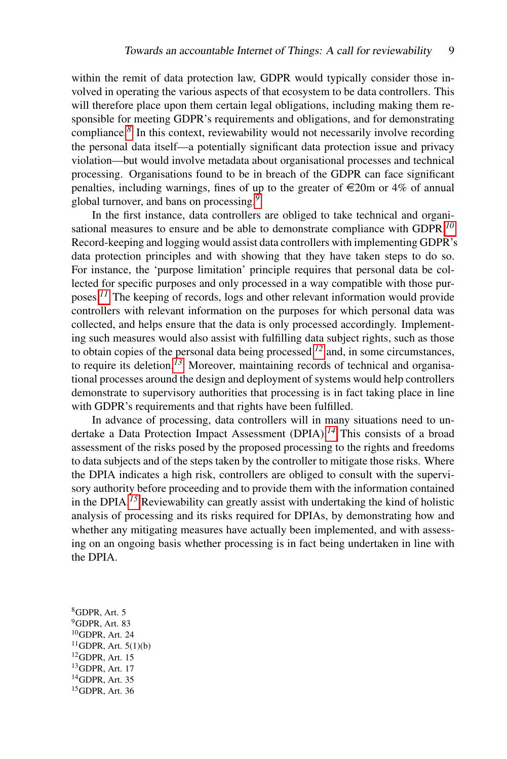within the remit of data protection law, GDPR would typically consider those involved in operating the various aspects of that ecosystem to be data controllers. This will therefore place upon them certain legal obligations, including making them responsible for meeting GDPR's requirements and obligations, and for demonstrating compliance.*[8](#page-8-0)* In this context, reviewability would not necessarily involve recording the personal data itself—a potentially significant data protection issue and privacy violation—but would involve metadata about organisational processes and technical processing. Organisations found to be in breach of the GDPR can face significant penalties, including warnings, fines of up to the greater of  $\epsilon$ 20m or 4% of annual global turnover, and bans on processing.*[9](#page-8-1)*

In the first instance, data controllers are obliged to take technical and organisational measures to ensure and be able to demonstrate compliance with GDPR.*[10](#page-8-2)* Record-keeping and logging would assist data controllers with implementing GDPR's data protection principles and with showing that they have taken steps to do so. For instance, the 'purpose limitation' principle requires that personal data be collected for specific purposes and only processed in a way compatible with those purposes.*[11](#page-8-3)* The keeping of records, logs and other relevant information would provide controllers with relevant information on the purposes for which personal data was collected, and helps ensure that the data is only processed accordingly. Implementing such measures would also assist with fulfilling data subject rights, such as those to obtain copies of the personal data being processed *[12](#page-8-4)* and, in some circumstances, to require its deletion.*[13](#page-8-5)* Moreover, maintaining records of technical and organisational processes around the design and deployment of systems would help controllers demonstrate to supervisory authorities that processing is in fact taking place in line with GDPR's requirements and that rights have been fulfilled.

In advance of processing, data controllers will in many situations need to undertake a Data Protection Impact Assessment (DPIA).*[14](#page-8-6)* This consists of a broad assessment of the risks posed by the proposed processing to the rights and freedoms to data subjects and of the steps taken by the controller to mitigate those risks. Where the DPIA indicates a high risk, controllers are obliged to consult with the supervisory authority before proceeding and to provide them with the information contained in the DPIA.*[15](#page-8-7)* Reviewability can greatly assist with undertaking the kind of holistic analysis of processing and its risks required for DPIAs, by demonstrating how and whether any mitigating measures have actually been implemented, and with assessing on an ongoing basis whether processing is in fact being undertaken in line with the DPIA.

<span id="page-8-7"></span><span id="page-8-6"></span><span id="page-8-5"></span><span id="page-8-4"></span><span id="page-8-3"></span><span id="page-8-2"></span><span id="page-8-1"></span><span id="page-8-0"></span>GDPR, Art. 5 <sup>9</sup>GDPR, Art. 83 GDPR, Art. 24 GDPR, Art.  $5(1)(b)$ GDPR, Art. 15 GDPR, Art. 17 GDPR, Art. 35 GDPR, Art. 36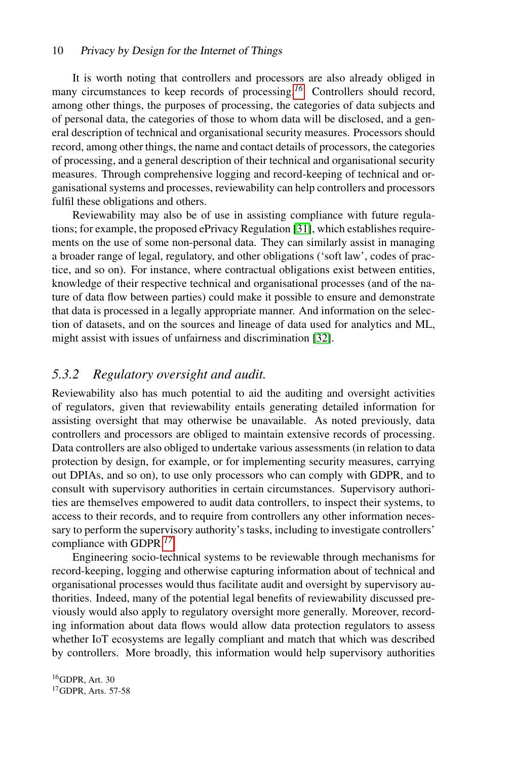It is worth noting that controllers and processors are also already obliged in many circumstances to keep records of processing.<sup>[16](#page-9-0)</sup> Controllers should record, among other things, the purposes of processing, the categories of data subjects and of personal data, the categories of those to whom data will be disclosed, and a general description of technical and organisational security measures. Processors should record, among other things, the name and contact details of processors, the categories of processing, and a general description of their technical and organisational security measures. Through comprehensive logging and record-keeping of technical and organisational systems and processes, reviewability can help controllers and processors fulfil these obligations and others.

Reviewability may also be of use in assisting compliance with future regulations; for example, the proposed ePrivacy Regulation [\[31\]](#page-26-8), which establishes requirements on the use of some non-personal data. They can similarly assist in managing a broader range of legal, regulatory, and other obligations ('soft law', codes of practice, and so on). For instance, where contractual obligations exist between entities, knowledge of their respective technical and organisational processes (and of the nature of data flow between parties) could make it possible to ensure and demonstrate that data is processed in a legally appropriate manner. And information on the selection of datasets, and on the sources and lineage of data used for analytics and ML, might assist with issues of unfairness and discrimination [\[32\]](#page-26-9).

## <span id="page-9-2"></span>*5.3.2 Regulatory oversight and audit.*

Reviewability also has much potential to aid the auditing and oversight activities of regulators, given that reviewability entails generating detailed information for assisting oversight that may otherwise be unavailable. As noted previously, data controllers and processors are obliged to maintain extensive records of processing. Data controllers are also obliged to undertake various assessments (in relation to data protection by design, for example, or for implementing security measures, carrying out DPIAs, and so on), to use only processors who can comply with GDPR, and to consult with supervisory authorities in certain circumstances. Supervisory authorities are themselves empowered to audit data controllers, to inspect their systems, to access to their records, and to require from controllers any other information necessary to perform the supervisory authority's tasks, including to investigate controllers' compliance with GDPR.*[17](#page-9-1)*

Engineering socio-technical systems to be reviewable through mechanisms for record-keeping, logging and otherwise capturing information about of technical and organisational processes would thus facilitate audit and oversight by supervisory authorities. Indeed, many of the potential legal benefits of reviewability discussed previously would also apply to regulatory oversight more generally. Moreover, recording information about data flows would allow data protection regulators to assess whether IoT ecosystems are legally compliant and match that which was described by controllers. More broadly, this information would help supervisory authorities

<span id="page-9-1"></span><span id="page-9-0"></span><sup>16</sup>GDPR, Art. 30 <sup>17</sup>GDPR, Arts. 57-58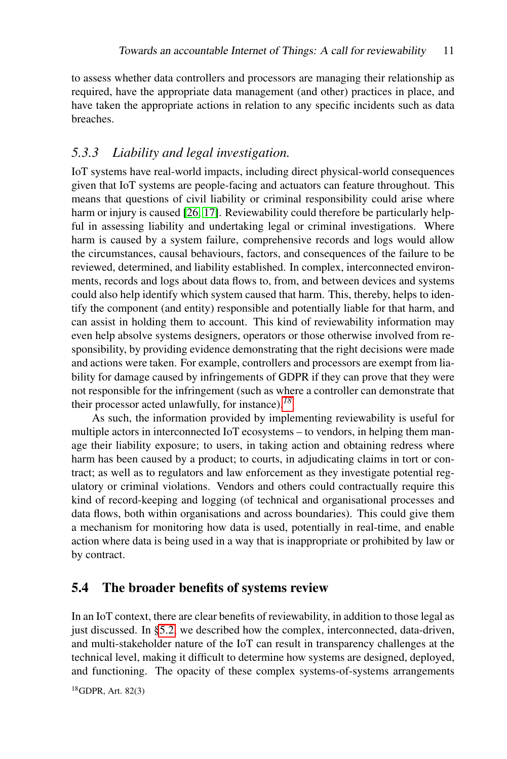to assess whether data controllers and processors are managing their relationship as required, have the appropriate data management (and other) practices in place, and have taken the appropriate actions in relation to any specific incidents such as data breaches.

#### *5.3.3 Liability and legal investigation.*

IoT systems have real-world impacts, including direct physical-world consequences given that IoT systems are people-facing and actuators can feature throughout. This means that questions of civil liability or criminal responsibility could arise where harm or injury is caused [\[26,](#page-26-3) [17\]](#page-25-9). Reviewability could therefore be particularly helpful in assessing liability and undertaking legal or criminal investigations. Where harm is caused by a system failure, comprehensive records and logs would allow the circumstances, causal behaviours, factors, and consequences of the failure to be reviewed, determined, and liability established. In complex, interconnected environments, records and logs about data flows to, from, and between devices and systems could also help identify which system caused that harm. This, thereby, helps to identify the component (and entity) responsible and potentially liable for that harm, and can assist in holding them to account. This kind of reviewability information may even help absolve systems designers, operators or those otherwise involved from responsibility, by providing evidence demonstrating that the right decisions were made and actions were taken. For example, controllers and processors are exempt from liability for damage caused by infringements of GDPR if they can prove that they were not responsible for the infringement (such as where a controller can demonstrate that their processor acted unlawfully, for instance).*[18](#page-10-0)*

As such, the information provided by implementing reviewability is useful for multiple actors in interconnected IoT ecosystems – to vendors, in helping them manage their liability exposure; to users, in taking action and obtaining redress where harm has been caused by a product; to courts, in adjudicating claims in tort or contract; as well as to regulators and law enforcement as they investigate potential regulatory or criminal violations. Vendors and others could contractually require this kind of record-keeping and logging (of technical and organisational processes and data flows, both within organisations and across boundaries). This could give them a mechanism for monitoring how data is used, potentially in real-time, and enable action where data is being used in a way that is inappropriate or prohibited by law or by contract.

#### 5.4 The broader benefits of systems review

In an IoT context, there are clear benefits of reviewability, in addition to those legal as just discussed. In [§5.2,](#page-2-0) we described how the complex, interconnected, data-driven, and multi-stakeholder nature of the IoT can result in transparency challenges at the technical level, making it difficult to determine how systems are designed, deployed, and functioning. The opacity of these complex systems-of-systems arrangements

<span id="page-10-0"></span> $18$ GDPR, Art. 82(3)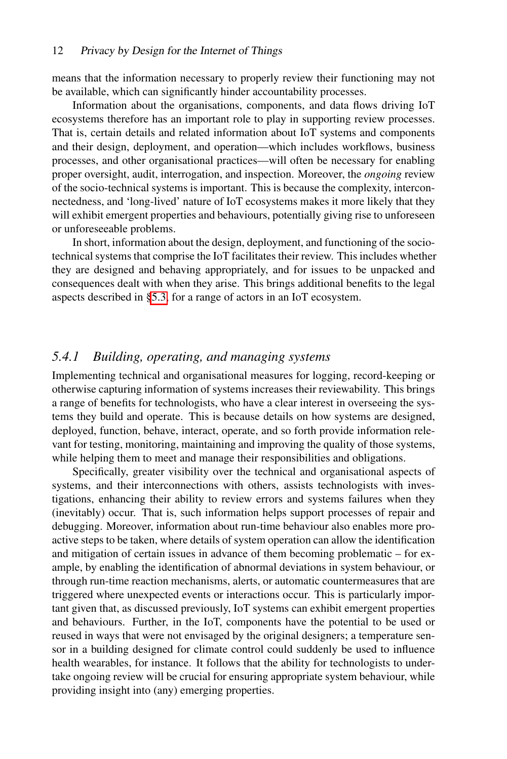means that the information necessary to properly review their functioning may not be available, which can significantly hinder accountability processes.

Information about the organisations, components, and data flows driving IoT ecosystems therefore has an important role to play in supporting review processes. That is, certain details and related information about IoT systems and components and their design, deployment, and operation—which includes workflows, business processes, and other organisational practices—will often be necessary for enabling proper oversight, audit, interrogation, and inspection. Moreover, the *ongoing* review of the socio-technical systems is important. This is because the complexity, interconnectedness, and 'long-lived' nature of IoT ecosystems makes it more likely that they will exhibit emergent properties and behaviours, potentially giving rise to unforeseen or unforeseeable problems.

In short, information about the design, deployment, and functioning of the sociotechnical systems that comprise the IoT facilitates their review. This includes whether they are designed and behaving appropriately, and for issues to be unpacked and consequences dealt with when they arise. This brings additional benefits to the legal aspects described in [§5.3,](#page-6-0) for a range of actors in an IoT ecosystem.

#### *5.4.1 Building, operating, and managing systems*

Implementing technical and organisational measures for logging, record-keeping or otherwise capturing information of systems increases their reviewability. This brings a range of benefits for technologists, who have a clear interest in overseeing the systems they build and operate. This is because details on how systems are designed, deployed, function, behave, interact, operate, and so forth provide information relevant for testing, monitoring, maintaining and improving the quality of those systems, while helping them to meet and manage their responsibilities and obligations.

Specifically, greater visibility over the technical and organisational aspects of systems, and their interconnections with others, assists technologists with investigations, enhancing their ability to review errors and systems failures when they (inevitably) occur. That is, such information helps support processes of repair and debugging. Moreover, information about run-time behaviour also enables more proactive steps to be taken, where details of system operation can allow the identification and mitigation of certain issues in advance of them becoming problematic – for example, by enabling the identification of abnormal deviations in system behaviour, or through run-time reaction mechanisms, alerts, or automatic countermeasures that are triggered where unexpected events or interactions occur. This is particularly important given that, as discussed previously, IoT systems can exhibit emergent properties and behaviours. Further, in the IoT, components have the potential to be used or reused in ways that were not envisaged by the original designers; a temperature sensor in a building designed for climate control could suddenly be used to influence health wearables, for instance. It follows that the ability for technologists to undertake ongoing review will be crucial for ensuring appropriate system behaviour, while providing insight into (any) emerging properties.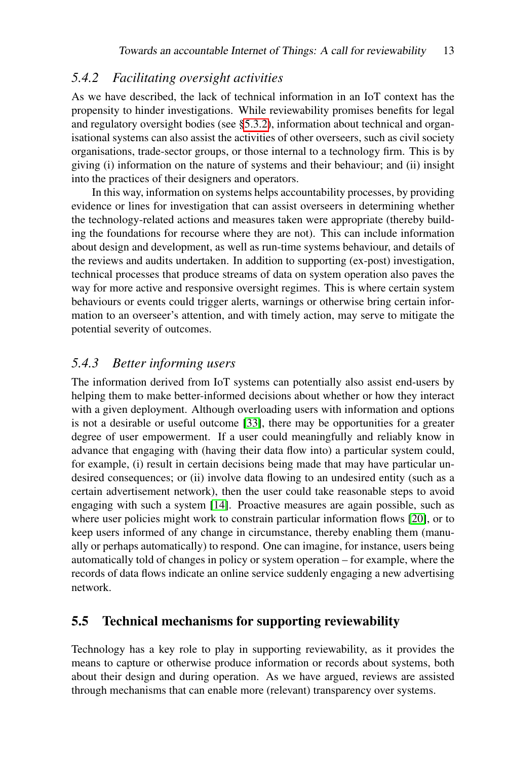#### *5.4.2 Facilitating oversight activities*

As we have described, the lack of technical information in an IoT context has the propensity to hinder investigations. While reviewability promises benefits for legal and regulatory oversight bodies (see [§5.3.2\)](#page-9-2), information about technical and organisational systems can also assist the activities of other overseers, such as civil society organisations, trade-sector groups, or those internal to a technology firm. This is by giving (i) information on the nature of systems and their behaviour; and (ii) insight into the practices of their designers and operators.

In this way, information on systems helps accountability processes, by providing evidence or lines for investigation that can assist overseers in determining whether the technology-related actions and measures taken were appropriate (thereby building the foundations for recourse where they are not). This can include information about design and development, as well as run-time systems behaviour, and details of the reviews and audits undertaken. In addition to supporting (ex-post) investigation, technical processes that produce streams of data on system operation also paves the way for more active and responsive oversight regimes. This is where certain system behaviours or events could trigger alerts, warnings or otherwise bring certain information to an overseer's attention, and with timely action, may serve to mitigate the potential severity of outcomes.

### *5.4.3 Better informing users*

The information derived from IoT systems can potentially also assist end-users by helping them to make better-informed decisions about whether or how they interact with a given deployment. Although overloading users with information and options is not a desirable or useful outcome [\[33\]](#page-26-10), there may be opportunities for a greater degree of user empowerment. If a user could meaningfully and reliably know in advance that engaging with (having their data flow into) a particular system could, for example, (i) result in certain decisions being made that may have particular undesired consequences; or (ii) involve data flowing to an undesired entity (such as a certain advertisement network), then the user could take reasonable steps to avoid engaging with such a system [\[14\]](#page-25-6). Proactive measures are again possible, such as where user policies might work to constrain particular information flows [\[20\]](#page-25-11), or to keep users informed of any change in circumstance, thereby enabling them (manually or perhaps automatically) to respond. One can imagine, for instance, users being automatically told of changes in policy or system operation – for example, where the records of data flows indicate an online service suddenly engaging a new advertising network.

## <span id="page-12-0"></span>5.5 Technical mechanisms for supporting reviewability

Technology has a key role to play in supporting reviewability, as it provides the means to capture or otherwise produce information or records about systems, both about their design and during operation. As we have argued, reviews are assisted through mechanisms that can enable more (relevant) transparency over systems.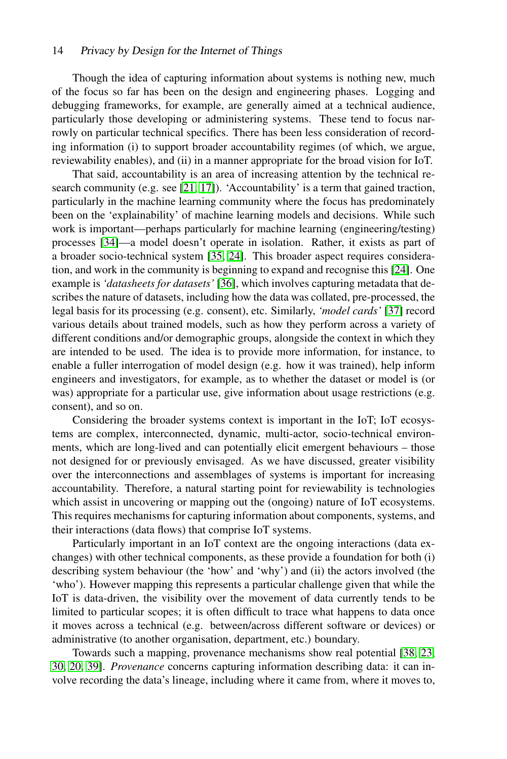Though the idea of capturing information about systems is nothing new, much of the focus so far has been on the design and engineering phases. Logging and debugging frameworks, for example, are generally aimed at a technical audience, particularly those developing or administering systems. These tend to focus narrowly on particular technical specifics. There has been less consideration of recording information (i) to support broader accountability regimes (of which, we argue, reviewability enables), and (ii) in a manner appropriate for the broad vision for IoT.

That said, accountability is an area of increasing attention by the technical research community (e.g. see  $[21, 17]$  $[21, 17]$ ). 'Accountability' is a term that gained traction, particularly in the machine learning community where the focus has predominately been on the 'explainability' of machine learning models and decisions. While such work is important—perhaps particularly for machine learning (engineering/testing) processes [\[34\]](#page-26-11)—a model doesn't operate in isolation. Rather, it exists as part of a broader socio-technical system [\[35,](#page-26-12) [24\]](#page-26-1). This broader aspect requires consideration, and work in the community is beginning to expand and recognise this [\[24\]](#page-26-1). One example is *'datasheets for datasets'* [\[36\]](#page-27-0), which involves capturing metadata that describes the nature of datasets, including how the data was collated, pre-processed, the legal basis for its processing (e.g. consent), etc. Similarly, *'model cards'* [\[37\]](#page-27-1) record various details about trained models, such as how they perform across a variety of different conditions and/or demographic groups, alongside the context in which they are intended to be used. The idea is to provide more information, for instance, to enable a fuller interrogation of model design (e.g. how it was trained), help inform engineers and investigators, for example, as to whether the dataset or model is (or was) appropriate for a particular use, give information about usage restrictions (e.g. consent), and so on.

Considering the broader systems context is important in the IoT; IoT ecosystems are complex, interconnected, dynamic, multi-actor, socio-technical environments, which are long-lived and can potentially elicit emergent behaviours – those not designed for or previously envisaged. As we have discussed, greater visibility over the interconnections and assemblages of systems is important for increasing accountability. Therefore, a natural starting point for reviewability is technologies which assist in uncovering or mapping out the (ongoing) nature of IoT ecosystems. This requires mechanisms for capturing information about components, systems, and their interactions (data flows) that comprise IoT systems.

Particularly important in an IoT context are the ongoing interactions (data exchanges) with other technical components, as these provide a foundation for both (i) describing system behaviour (the 'how' and 'why') and (ii) the actors involved (the 'who'). However mapping this represents a particular challenge given that while the IoT is data-driven, the visibility over the movement of data currently tends to be limited to particular scopes; it is often difficult to trace what happens to data once it moves across a technical (e.g. between/across different software or devices) or administrative (to another organisation, department, etc.) boundary.

Towards such a mapping, provenance mechanisms show real potential [\[38,](#page-27-2) [23,](#page-26-0) [30,](#page-26-7) [20,](#page-25-11) [39\]](#page-27-3). *Provenance* concerns capturing information describing data: it can involve recording the data's lineage, including where it came from, where it moves to,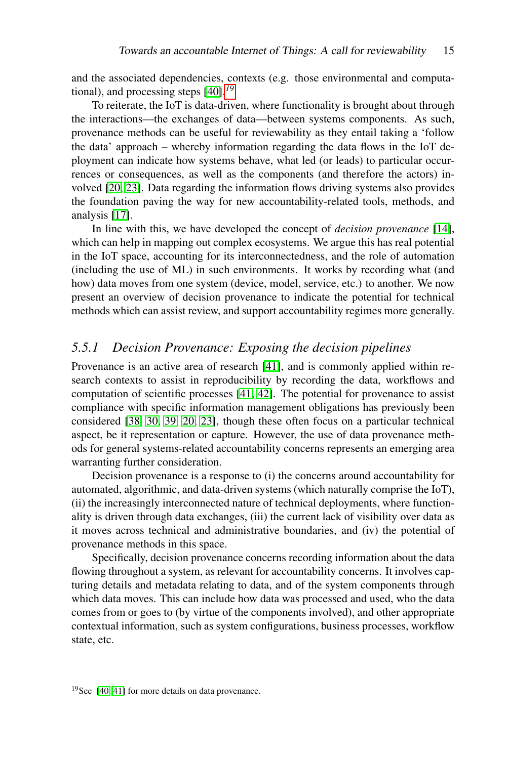and the associated dependencies, contexts (e.g. those environmental and computational), and processing steps [\[40\]](#page-27-4).*[19](#page-14-0)*

To reiterate, the IoT is data-driven, where functionality is brought about through the interactions—the exchanges of data—between systems components. As such, provenance methods can be useful for reviewability as they entail taking a 'follow the data' approach – whereby information regarding the data flows in the IoT deployment can indicate how systems behave, what led (or leads) to particular occurrences or consequences, as well as the components (and therefore the actors) involved [\[20,](#page-25-11) [23\]](#page-26-0). Data regarding the information flows driving systems also provides the foundation paving the way for new accountability-related tools, methods, and analysis [\[17\]](#page-25-9).

In line with this, we have developed the concept of *decision provenance* [\[14\]](#page-25-6), which can help in mapping out complex ecosystems. We argue this has real potential in the IoT space, accounting for its interconnectedness, and the role of automation (including the use of ML) in such environments. It works by recording what (and how) data moves from one system (device, model, service, etc.) to another. We now present an overview of decision provenance to indicate the potential for technical methods which can assist review, and support accountability regimes more generally.

## *5.5.1 Decision Provenance: Exposing the decision pipelines*

Provenance is an active area of research [\[41\]](#page-27-5), and is commonly applied within research contexts to assist in reproducibility by recording the data, workflows and computation of scientific processes [\[41,](#page-27-5) [42\]](#page-27-6). The potential for provenance to assist compliance with specific information management obligations has previously been considered [\[38,](#page-27-2) [30,](#page-26-7) [39,](#page-27-3) [20,](#page-25-11) [23\]](#page-26-0), though these often focus on a particular technical aspect, be it representation or capture. However, the use of data provenance methods for general systems-related accountability concerns represents an emerging area warranting further consideration.

Decision provenance is a response to (i) the concerns around accountability for automated, algorithmic, and data-driven systems (which naturally comprise the IoT), (ii) the increasingly interconnected nature of technical deployments, where functionality is driven through data exchanges, (iii) the current lack of visibility over data as it moves across technical and administrative boundaries, and (iv) the potential of provenance methods in this space.

Specifically, decision provenance concerns recording information about the data flowing throughout a system, as relevant for accountability concerns. It involves capturing details and metadata relating to data, and of the system components through which data moves. This can include how data was processed and used, who the data comes from or goes to (by virtue of the components involved), and other appropriate contextual information, such as system configurations, business processes, workflow state, etc.

<span id="page-14-0"></span> $19$ See [\[40,](#page-27-4) [41\]](#page-27-5) for more details on data provenance.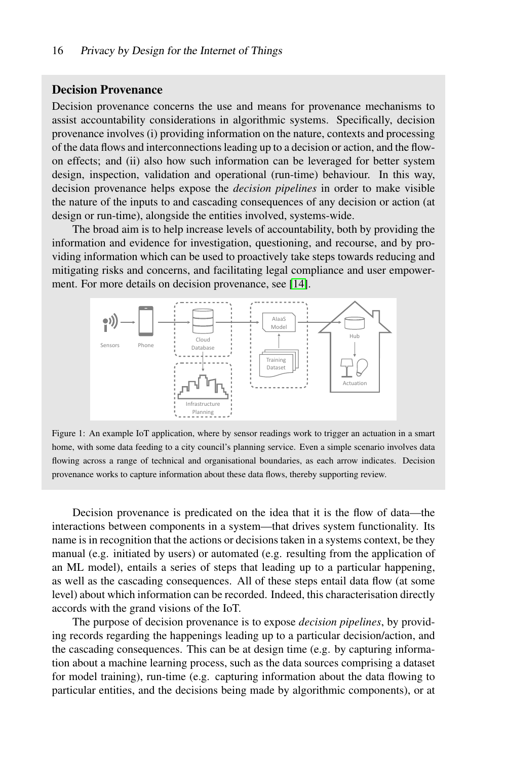#### Decision Provenance

Decision provenance concerns the use and means for provenance mechanisms to assist accountability considerations in algorithmic systems. Specifically, decision provenance involves (i) providing information on the nature, contexts and processing of the data flows and interconnections leading up to a decision or action, and the flowon effects; and (ii) also how such information can be leveraged for better system design, inspection, validation and operational (run-time) behaviour. In this way, decision provenance helps expose the *decision pipelines* in order to make visible the nature of the inputs to and cascading consequences of any decision or action (at design or run-time), alongside the entities involved, systems-wide.

The broad aim is to help increase levels of accountability, both by providing the information and evidence for investigation, questioning, and recourse, and by providing information which can be used to proactively take steps towards reducing and mitigating risks and concerns, and facilitating legal compliance and user empowerment. For more details on decision provenance, see [\[14\]](#page-25-6).



Figure 1: An example IoT application, where by sensor readings work to trigger an actuation in a smart home, with some data feeding to a city council's planning service. Even a simple scenario involves data flowing across a range of technical and organisational boundaries, as each arrow indicates. Decision provenance works to capture information about these data flows, thereby supporting review.

Decision provenance is predicated on the idea that it is the flow of data—the interactions between components in a system—that drives system functionality. Its name is in recognition that the actions or decisions taken in a systems context, be they manual (e.g. initiated by users) or automated (e.g. resulting from the application of an ML model), entails a series of steps that leading up to a particular happening, as well as the cascading consequences. All of these steps entail data flow (at some level) about which information can be recorded. Indeed, this characterisation directly accords with the grand visions of the IoT.

The purpose of decision provenance is to expose *decision pipelines*, by providing records regarding the happenings leading up to a particular decision/action, and the cascading consequences. This can be at design time (e.g. by capturing information about a machine learning process, such as the data sources comprising a dataset for model training), run-time (e.g. capturing information about the data flowing to particular entities, and the decisions being made by algorithmic components), or at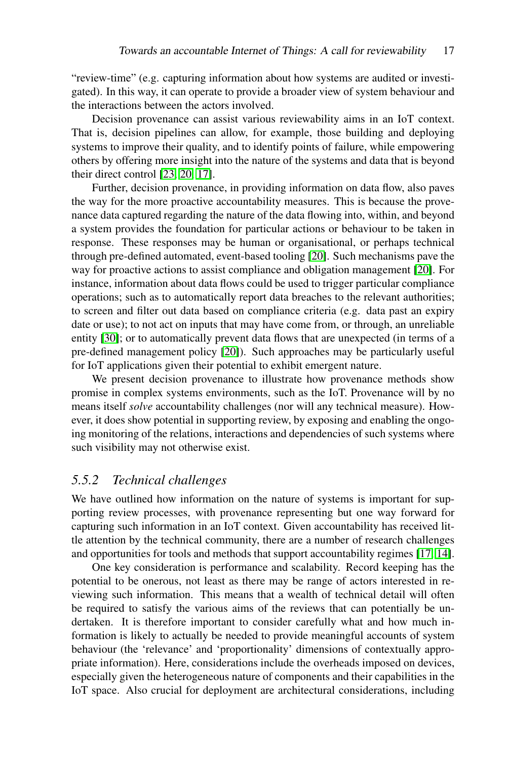"review-time" (e.g. capturing information about how systems are audited or investigated). In this way, it can operate to provide a broader view of system behaviour and the interactions between the actors involved.

Decision provenance can assist various reviewability aims in an IoT context. That is, decision pipelines can allow, for example, those building and deploying systems to improve their quality, and to identify points of failure, while empowering others by offering more insight into the nature of the systems and data that is beyond their direct control [\[23,](#page-26-0) [20,](#page-25-11) [17\]](#page-25-9).

Further, decision provenance, in providing information on data flow, also paves the way for the more proactive accountability measures. This is because the provenance data captured regarding the nature of the data flowing into, within, and beyond a system provides the foundation for particular actions or behaviour to be taken in response. These responses may be human or organisational, or perhaps technical through pre-defined automated, event-based tooling [\[20\]](#page-25-11). Such mechanisms pave the way for proactive actions to assist compliance and obligation management [\[20\]](#page-25-11). For instance, information about data flows could be used to trigger particular compliance operations; such as to automatically report data breaches to the relevant authorities; to screen and filter out data based on compliance criteria (e.g. data past an expiry date or use); to not act on inputs that may have come from, or through, an unreliable entity [\[30\]](#page-26-7); or to automatically prevent data flows that are unexpected (in terms of a pre-defined management policy [\[20\]](#page-25-11)). Such approaches may be particularly useful for IoT applications given their potential to exhibit emergent nature.

We present decision provenance to illustrate how provenance methods show promise in complex systems environments, such as the IoT. Provenance will by no means itself *solve* accountability challenges (nor will any technical measure). However, it does show potential in supporting review, by exposing and enabling the ongoing monitoring of the relations, interactions and dependencies of such systems where such visibility may not otherwise exist.

## *5.5.2 Technical challenges*

We have outlined how information on the nature of systems is important for supporting review processes, with provenance representing but one way forward for capturing such information in an IoT context. Given accountability has received little attention by the technical community, there are a number of research challenges and opportunities for tools and methods that support accountability regimes [\[17,](#page-25-9) [14\]](#page-25-6).

One key consideration is performance and scalability. Record keeping has the potential to be onerous, not least as there may be range of actors interested in reviewing such information. This means that a wealth of technical detail will often be required to satisfy the various aims of the reviews that can potentially be undertaken. It is therefore important to consider carefully what and how much information is likely to actually be needed to provide meaningful accounts of system behaviour (the 'relevance' and 'proportionality' dimensions of contextually appropriate information). Here, considerations include the overheads imposed on devices, especially given the heterogeneous nature of components and their capabilities in the IoT space. Also crucial for deployment are architectural considerations, including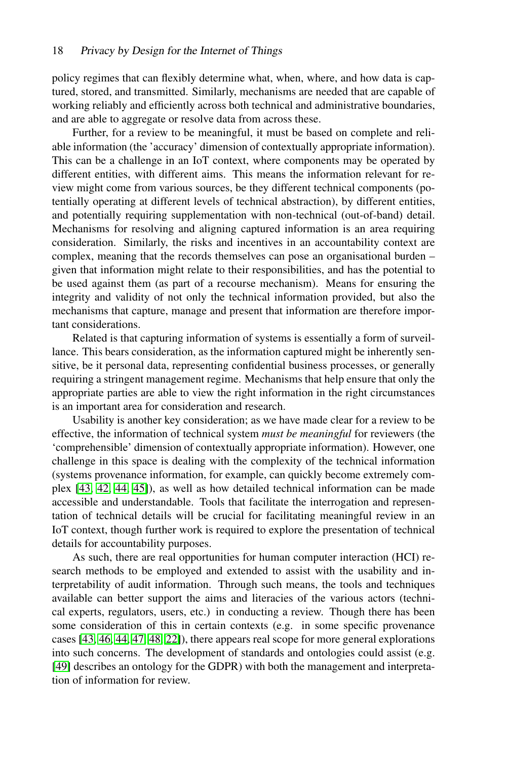policy regimes that can flexibly determine what, when, where, and how data is captured, stored, and transmitted. Similarly, mechanisms are needed that are capable of working reliably and efficiently across both technical and administrative boundaries, and are able to aggregate or resolve data from across these.

Further, for a review to be meaningful, it must be based on complete and reliable information (the 'accuracy' dimension of contextually appropriate information). This can be a challenge in an IoT context, where components may be operated by different entities, with different aims. This means the information relevant for review might come from various sources, be they different technical components (potentially operating at different levels of technical abstraction), by different entities, and potentially requiring supplementation with non-technical (out-of-band) detail. Mechanisms for resolving and aligning captured information is an area requiring consideration. Similarly, the risks and incentives in an accountability context are complex, meaning that the records themselves can pose an organisational burden – given that information might relate to their responsibilities, and has the potential to be used against them (as part of a recourse mechanism). Means for ensuring the integrity and validity of not only the technical information provided, but also the mechanisms that capture, manage and present that information are therefore important considerations.

Related is that capturing information of systems is essentially a form of surveillance. This bears consideration, as the information captured might be inherently sensitive, be it personal data, representing confidential business processes, or generally requiring a stringent management regime. Mechanisms that help ensure that only the appropriate parties are able to view the right information in the right circumstances is an important area for consideration and research.

Usability is another key consideration; as we have made clear for a review to be effective, the information of technical system *must be meaningful* for reviewers (the 'comprehensible' dimension of contextually appropriate information). However, one challenge in this space is dealing with the complexity of the technical information (systems provenance information, for example, can quickly become extremely complex [\[43,](#page-27-7) [42,](#page-27-6) [44,](#page-27-8) [45\]](#page-27-9)), as well as how detailed technical information can be made accessible and understandable. Tools that facilitate the interrogation and representation of technical details will be crucial for facilitating meaningful review in an IoT context, though further work is required to explore the presentation of technical details for accountability purposes.

As such, there are real opportunities for human computer interaction (HCI) research methods to be employed and extended to assist with the usability and interpretability of audit information. Through such means, the tools and techniques available can better support the aims and literacies of the various actors (technical experts, regulators, users, etc.) in conducting a review. Though there has been some consideration of this in certain contexts (e.g. in some specific provenance cases [\[43,](#page-27-7) [46,](#page-27-10) [44,](#page-27-8) [47,](#page-27-11) [48,](#page-27-12) [22\]](#page-25-13)), there appears real scope for more general explorations into such concerns. The development of standards and ontologies could assist (e.g. [\[49\]](#page-27-13) describes an ontology for the GDPR) with both the management and interpretation of information for review.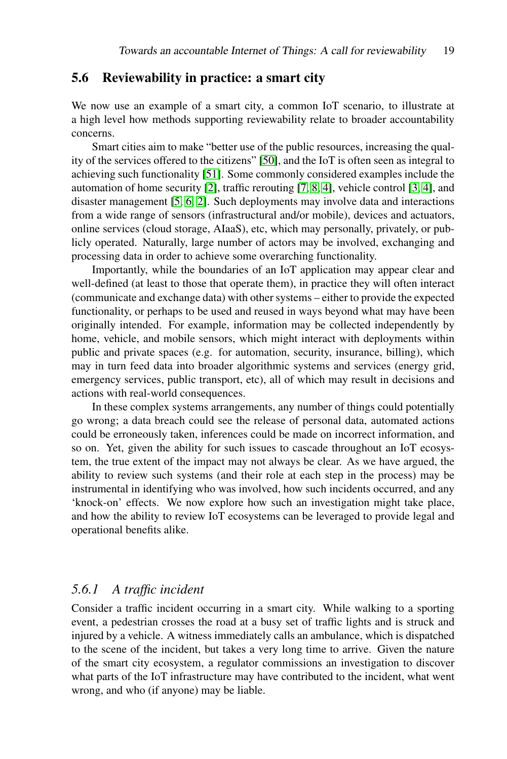#### 5.6 Reviewability in practice: a smart city

We now use an example of a smart city, a common IoT scenario, to illustrate at a high level how methods supporting reviewability relate to broader accountability concerns.

Smart cities aim to make "better use of the public resources, increasing the quality of the services offered to the citizens" [\[50\]](#page-28-0), and the IoT is often seen as integral to achieving such functionality [\[51\]](#page-28-1). Some commonly considered examples include the automation of home security [\[2\]](#page-24-1), traffic rerouting [\[7,](#page-24-6) [8,](#page-25-0) [4\]](#page-24-3), vehicle control [\[3,](#page-24-2) [4\]](#page-24-3), and disaster management [\[5,](#page-24-4) [6,](#page-24-5) [2\]](#page-24-1). Such deployments may involve data and interactions from a wide range of sensors (infrastructural and/or mobile), devices and actuators, online services (cloud storage, AIaaS), etc, which may personally, privately, or publicly operated. Naturally, large number of actors may be involved, exchanging and processing data in order to achieve some overarching functionality.

Importantly, while the boundaries of an IoT application may appear clear and well-defined (at least to those that operate them), in practice they will often interact (communicate and exchange data) with other systems – either to provide the expected functionality, or perhaps to be used and reused in ways beyond what may have been originally intended. For example, information may be collected independently by home, vehicle, and mobile sensors, which might interact with deployments within public and private spaces (e.g. for automation, security, insurance, billing), which may in turn feed data into broader algorithmic systems and services (energy grid, emergency services, public transport, etc), all of which may result in decisions and actions with real-world consequences.

In these complex systems arrangements, any number of things could potentially go wrong; a data breach could see the release of personal data, automated actions could be erroneously taken, inferences could be made on incorrect information, and so on. Yet, given the ability for such issues to cascade throughout an IoT ecosystem, the true extent of the impact may not always be clear. As we have argued, the ability to review such systems (and their role at each step in the process) may be instrumental in identifying who was involved, how such incidents occurred, and any 'knock-on' effects. We now explore how such an investigation might take place, and how the ability to review IoT ecosystems can be leveraged to provide legal and operational benefits alike.

#### *5.6.1 A traffic incident*

Consider a traffic incident occurring in a smart city. While walking to a sporting event, a pedestrian crosses the road at a busy set of traffic lights and is struck and injured by a vehicle. A witness immediately calls an ambulance, which is dispatched to the scene of the incident, but takes a very long time to arrive. Given the nature of the smart city ecosystem, a regulator commissions an investigation to discover what parts of the IoT infrastructure may have contributed to the incident, what went wrong, and who (if anyone) may be liable.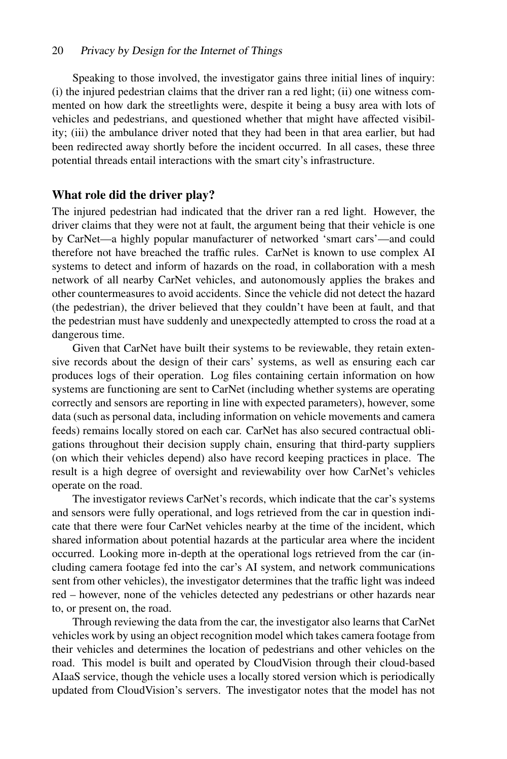Speaking to those involved, the investigator gains three initial lines of inquiry: (i) the injured pedestrian claims that the driver ran a red light; (ii) one witness commented on how dark the streetlights were, despite it being a busy area with lots of vehicles and pedestrians, and questioned whether that might have affected visibility; (iii) the ambulance driver noted that they had been in that area earlier, but had been redirected away shortly before the incident occurred. In all cases, these three potential threads entail interactions with the smart city's infrastructure.

#### What role did the driver play?

The injured pedestrian had indicated that the driver ran a red light. However, the driver claims that they were not at fault, the argument being that their vehicle is one by CarNet—a highly popular manufacturer of networked 'smart cars'—and could therefore not have breached the traffic rules. CarNet is known to use complex AI systems to detect and inform of hazards on the road, in collaboration with a mesh network of all nearby CarNet vehicles, and autonomously applies the brakes and other countermeasures to avoid accidents. Since the vehicle did not detect the hazard (the pedestrian), the driver believed that they couldn't have been at fault, and that the pedestrian must have suddenly and unexpectedly attempted to cross the road at a dangerous time.

Given that CarNet have built their systems to be reviewable, they retain extensive records about the design of their cars' systems, as well as ensuring each car produces logs of their operation. Log files containing certain information on how systems are functioning are sent to CarNet (including whether systems are operating correctly and sensors are reporting in line with expected parameters), however, some data (such as personal data, including information on vehicle movements and camera feeds) remains locally stored on each car. CarNet has also secured contractual obligations throughout their decision supply chain, ensuring that third-party suppliers (on which their vehicles depend) also have record keeping practices in place. The result is a high degree of oversight and reviewability over how CarNet's vehicles operate on the road.

The investigator reviews CarNet's records, which indicate that the car's systems and sensors were fully operational, and logs retrieved from the car in question indicate that there were four CarNet vehicles nearby at the time of the incident, which shared information about potential hazards at the particular area where the incident occurred. Looking more in-depth at the operational logs retrieved from the car (including camera footage fed into the car's AI system, and network communications sent from other vehicles), the investigator determines that the traffic light was indeed red – however, none of the vehicles detected any pedestrians or other hazards near to, or present on, the road.

Through reviewing the data from the car, the investigator also learns that CarNet vehicles work by using an object recognition model which takes camera footage from their vehicles and determines the location of pedestrians and other vehicles on the road. This model is built and operated by CloudVision through their cloud-based AIaaS service, though the vehicle uses a locally stored version which is periodically updated from CloudVision's servers. The investigator notes that the model has not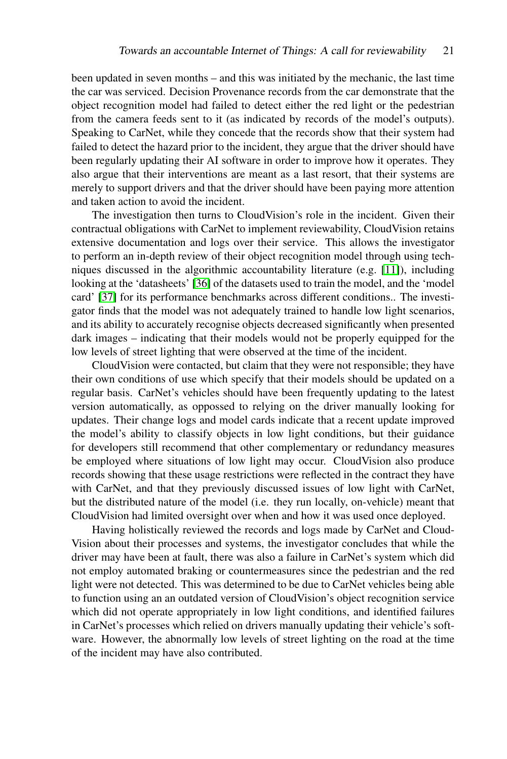been updated in seven months – and this was initiated by the mechanic, the last time the car was serviced. Decision Provenance records from the car demonstrate that the object recognition model had failed to detect either the red light or the pedestrian from the camera feeds sent to it (as indicated by records of the model's outputs). Speaking to CarNet, while they concede that the records show that their system had failed to detect the hazard prior to the incident, they argue that the driver should have been regularly updating their AI software in order to improve how it operates. They also argue that their interventions are meant as a last resort, that their systems are merely to support drivers and that the driver should have been paying more attention and taken action to avoid the incident.

The investigation then turns to CloudVision's role in the incident. Given their contractual obligations with CarNet to implement reviewability, CloudVision retains extensive documentation and logs over their service. This allows the investigator to perform an in-depth review of their object recognition model through using techniques discussed in the algorithmic accountability literature (e.g.  $[11]$ ), including looking at the 'datasheets' [\[36\]](#page-27-0) of the datasets used to train the model, and the 'model card' [\[37\]](#page-27-1) for its performance benchmarks across different conditions.. The investigator finds that the model was not adequately trained to handle low light scenarios, and its ability to accurately recognise objects decreased significantly when presented dark images – indicating that their models would not be properly equipped for the low levels of street lighting that were observed at the time of the incident.

CloudVision were contacted, but claim that they were not responsible; they have their own conditions of use which specify that their models should be updated on a regular basis. CarNet's vehicles should have been frequently updating to the latest version automatically, as oppossed to relying on the driver manually looking for updates. Their change logs and model cards indicate that a recent update improved the model's ability to classify objects in low light conditions, but their guidance for developers still recommend that other complementary or redundancy measures be employed where situations of low light may occur. CloudVision also produce records showing that these usage restrictions were reflected in the contract they have with CarNet, and that they previously discussed issues of low light with CarNet, but the distributed nature of the model (i.e. they run locally, on-vehicle) meant that CloudVision had limited oversight over when and how it was used once deployed.

Having holistically reviewed the records and logs made by CarNet and Cloud-Vision about their processes and systems, the investigator concludes that while the driver may have been at fault, there was also a failure in CarNet's system which did not employ automated braking or countermeasures since the pedestrian and the red light were not detected. This was determined to be due to CarNet vehicles being able to function using an an outdated version of CloudVision's object recognition service which did not operate appropriately in low light conditions, and identified failures in CarNet's processes which relied on drivers manually updating their vehicle's software. However, the abnormally low levels of street lighting on the road at the time of the incident may have also contributed.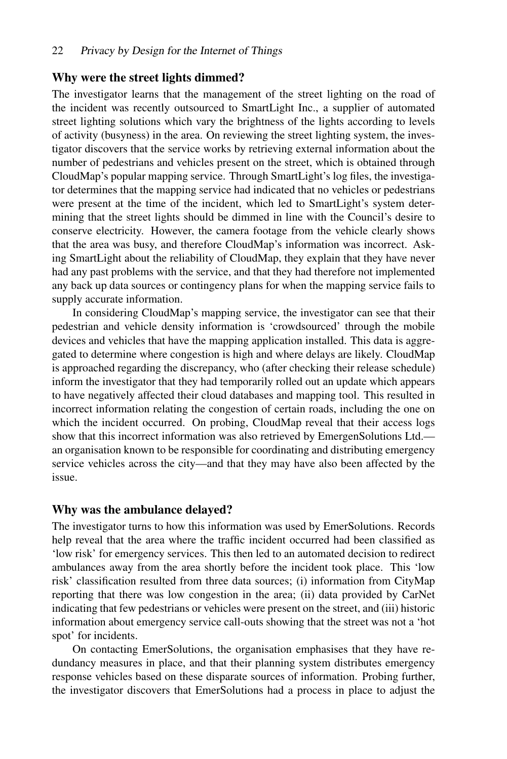#### Why were the street lights dimmed?

The investigator learns that the management of the street lighting on the road of the incident was recently outsourced to SmartLight Inc., a supplier of automated street lighting solutions which vary the brightness of the lights according to levels of activity (busyness) in the area. On reviewing the street lighting system, the investigator discovers that the service works by retrieving external information about the number of pedestrians and vehicles present on the street, which is obtained through CloudMap's popular mapping service. Through SmartLight's log files, the investigator determines that the mapping service had indicated that no vehicles or pedestrians were present at the time of the incident, which led to SmartLight's system determining that the street lights should be dimmed in line with the Council's desire to conserve electricity. However, the camera footage from the vehicle clearly shows that the area was busy, and therefore CloudMap's information was incorrect. Asking SmartLight about the reliability of CloudMap, they explain that they have never had any past problems with the service, and that they had therefore not implemented any back up data sources or contingency plans for when the mapping service fails to supply accurate information.

In considering CloudMap's mapping service, the investigator can see that their pedestrian and vehicle density information is 'crowdsourced' through the mobile devices and vehicles that have the mapping application installed. This data is aggregated to determine where congestion is high and where delays are likely. CloudMap is approached regarding the discrepancy, who (after checking their release schedule) inform the investigator that they had temporarily rolled out an update which appears to have negatively affected their cloud databases and mapping tool. This resulted in incorrect information relating the congestion of certain roads, including the one on which the incident occurred. On probing, CloudMap reveal that their access logs show that this incorrect information was also retrieved by EmergenSolutions Ltd. an organisation known to be responsible for coordinating and distributing emergency service vehicles across the city—and that they may have also been affected by the issue.

#### Why was the ambulance delayed?

The investigator turns to how this information was used by EmerSolutions. Records help reveal that the area where the traffic incident occurred had been classified as 'low risk' for emergency services. This then led to an automated decision to redirect ambulances away from the area shortly before the incident took place. This 'low risk' classification resulted from three data sources; (i) information from CityMap reporting that there was low congestion in the area; (ii) data provided by CarNet indicating that few pedestrians or vehicles were present on the street, and (iii) historic information about emergency service call-outs showing that the street was not a 'hot spot' for incidents.

On contacting EmerSolutions, the organisation emphasises that they have redundancy measures in place, and that their planning system distributes emergency response vehicles based on these disparate sources of information. Probing further, the investigator discovers that EmerSolutions had a process in place to adjust the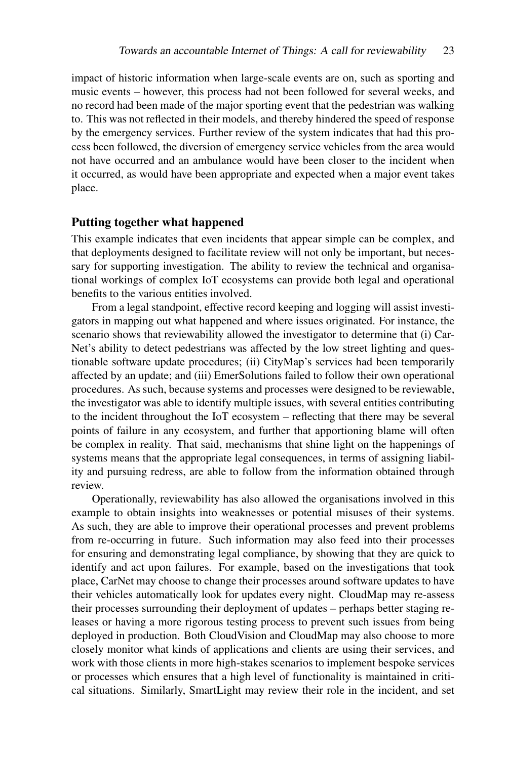impact of historic information when large-scale events are on, such as sporting and music events – however, this process had not been followed for several weeks, and no record had been made of the major sporting event that the pedestrian was walking to. This was not reflected in their models, and thereby hindered the speed of response by the emergency services. Further review of the system indicates that had this process been followed, the diversion of emergency service vehicles from the area would not have occurred and an ambulance would have been closer to the incident when it occurred, as would have been appropriate and expected when a major event takes place.

#### Putting together what happened

This example indicates that even incidents that appear simple can be complex, and that deployments designed to facilitate review will not only be important, but necessary for supporting investigation. The ability to review the technical and organisational workings of complex IoT ecosystems can provide both legal and operational benefits to the various entities involved.

From a legal standpoint, effective record keeping and logging will assist investigators in mapping out what happened and where issues originated. For instance, the scenario shows that reviewability allowed the investigator to determine that (i) Car-Net's ability to detect pedestrians was affected by the low street lighting and questionable software update procedures; (ii) CityMap's services had been temporarily affected by an update; and (iii) EmerSolutions failed to follow their own operational procedures. As such, because systems and processes were designed to be reviewable, the investigator was able to identify multiple issues, with several entities contributing to the incident throughout the IoT ecosystem – reflecting that there may be several points of failure in any ecosystem, and further that apportioning blame will often be complex in reality. That said, mechanisms that shine light on the happenings of systems means that the appropriate legal consequences, in terms of assigning liability and pursuing redress, are able to follow from the information obtained through review.

Operationally, reviewability has also allowed the organisations involved in this example to obtain insights into weaknesses or potential misuses of their systems. As such, they are able to improve their operational processes and prevent problems from re-occurring in future. Such information may also feed into their processes for ensuring and demonstrating legal compliance, by showing that they are quick to identify and act upon failures. For example, based on the investigations that took place, CarNet may choose to change their processes around software updates to have their vehicles automatically look for updates every night. CloudMap may re-assess their processes surrounding their deployment of updates – perhaps better staging releases or having a more rigorous testing process to prevent such issues from being deployed in production. Both CloudVision and CloudMap may also choose to more closely monitor what kinds of applications and clients are using their services, and work with those clients in more high-stakes scenarios to implement bespoke services or processes which ensures that a high level of functionality is maintained in critical situations. Similarly, SmartLight may review their role in the incident, and set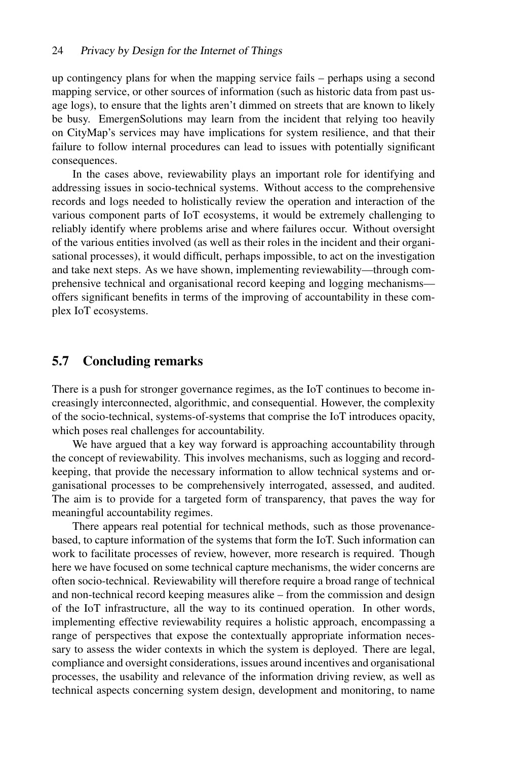up contingency plans for when the mapping service fails – perhaps using a second mapping service, or other sources of information (such as historic data from past usage logs), to ensure that the lights aren't dimmed on streets that are known to likely be busy. EmergenSolutions may learn from the incident that relying too heavily on CityMap's services may have implications for system resilience, and that their failure to follow internal procedures can lead to issues with potentially significant consequences.

In the cases above, reviewability plays an important role for identifying and addressing issues in socio-technical systems. Without access to the comprehensive records and logs needed to holistically review the operation and interaction of the various component parts of IoT ecosystems, it would be extremely challenging to reliably identify where problems arise and where failures occur. Without oversight of the various entities involved (as well as their roles in the incident and their organisational processes), it would difficult, perhaps impossible, to act on the investigation and take next steps. As we have shown, implementing reviewability—through comprehensive technical and organisational record keeping and logging mechanisms offers significant benefits in terms of the improving of accountability in these complex IoT ecosystems.

#### 5.7 Concluding remarks

There is a push for stronger governance regimes, as the IoT continues to become increasingly interconnected, algorithmic, and consequential. However, the complexity of the socio-technical, systems-of-systems that comprise the IoT introduces opacity, which poses real challenges for accountability.

We have argued that a key way forward is approaching accountability through the concept of reviewability. This involves mechanisms, such as logging and recordkeeping, that provide the necessary information to allow technical systems and organisational processes to be comprehensively interrogated, assessed, and audited. The aim is to provide for a targeted form of transparency, that paves the way for meaningful accountability regimes.

There appears real potential for technical methods, such as those provenancebased, to capture information of the systems that form the IoT. Such information can work to facilitate processes of review, however, more research is required. Though here we have focused on some technical capture mechanisms, the wider concerns are often socio-technical. Reviewability will therefore require a broad range of technical and non-technical record keeping measures alike – from the commission and design of the IoT infrastructure, all the way to its continued operation. In other words, implementing effective reviewability requires a holistic approach, encompassing a range of perspectives that expose the contextually appropriate information necessary to assess the wider contexts in which the system is deployed. There are legal, compliance and oversight considerations, issues around incentives and organisational processes, the usability and relevance of the information driving review, as well as technical aspects concerning system design, development and monitoring, to name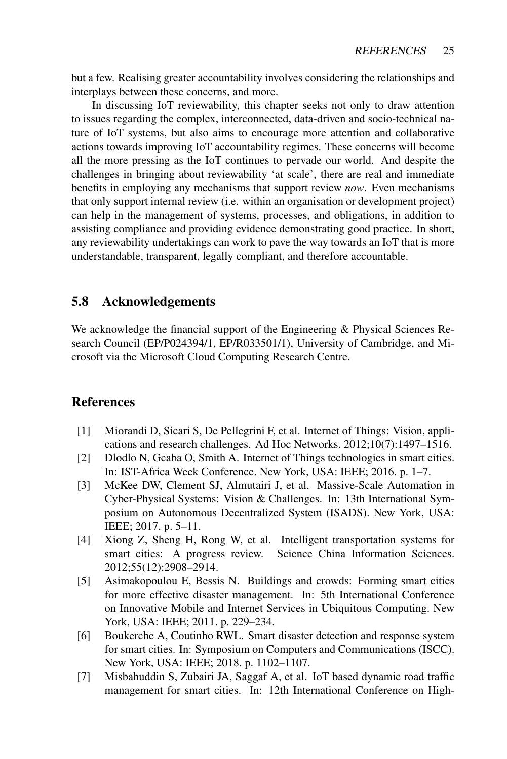but a few. Realising greater accountability involves considering the relationships and interplays between these concerns, and more.

In discussing IoT reviewability, this chapter seeks not only to draw attention to issues regarding the complex, interconnected, data-driven and socio-technical nature of IoT systems, but also aims to encourage more attention and collaborative actions towards improving IoT accountability regimes. These concerns will become all the more pressing as the IoT continues to pervade our world. And despite the challenges in bringing about reviewability 'at scale', there are real and immediate benefits in employing any mechanisms that support review *now*. Even mechanisms that only support internal review (i.e. within an organisation or development project) can help in the management of systems, processes, and obligations, in addition to assisting compliance and providing evidence demonstrating good practice. In short, any reviewability undertakings can work to pave the way towards an IoT that is more understandable, transparent, legally compliant, and therefore accountable.

## 5.8 Acknowledgements

We acknowledge the financial support of the Engineering & Physical Sciences Research Council (EP/P024394/1, EP/R033501/1), University of Cambridge, and Microsoft via the Microsoft Cloud Computing Research Centre.

## **References**

- <span id="page-24-0"></span>[1] Miorandi D, Sicari S, De Pellegrini F, et al. Internet of Things: Vision, applications and research challenges. Ad Hoc Networks. 2012;10(7):1497–1516.
- <span id="page-24-1"></span>[2] Dlodlo N, Gcaba O, Smith A. Internet of Things technologies in smart cities. In: IST-Africa Week Conference. New York, USA: IEEE; 2016. p. 1–7.
- <span id="page-24-2"></span>[3] McKee DW, Clement SJ, Almutairi J, et al. Massive-Scale Automation in Cyber-Physical Systems: Vision & Challenges. In: 13th International Symposium on Autonomous Decentralized System (ISADS). New York, USA: IEEE; 2017. p. 5–11.
- <span id="page-24-3"></span>[4] Xiong Z, Sheng H, Rong W, et al. Intelligent transportation systems for smart cities: A progress review. Science China Information Sciences. 2012;55(12):2908–2914.
- <span id="page-24-4"></span>[5] Asimakopoulou E, Bessis N. Buildings and crowds: Forming smart cities for more effective disaster management. In: 5th International Conference on Innovative Mobile and Internet Services in Ubiquitous Computing. New York, USA: IEEE; 2011. p. 229–234.
- <span id="page-24-5"></span>[6] Boukerche A, Coutinho RWL. Smart disaster detection and response system for smart cities. In: Symposium on Computers and Communications (ISCC). New York, USA: IEEE; 2018. p. 1102–1107.
- <span id="page-24-6"></span>[7] Misbahuddin S, Zubairi JA, Saggaf A, et al. IoT based dynamic road traffic management for smart cities. In: 12th International Conference on High-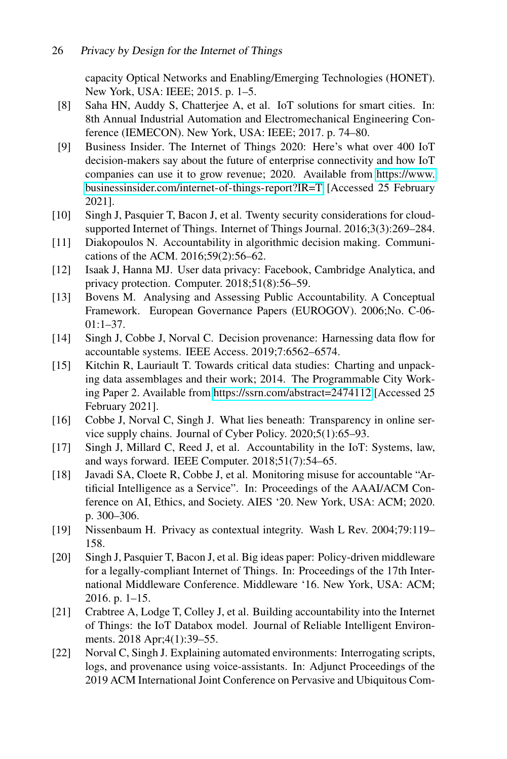capacity Optical Networks and Enabling/Emerging Technologies (HONET). New York, USA: IEEE; 2015. p. 1–5.

- <span id="page-25-0"></span>[8] Saha HN, Auddy S, Chatterjee A, et al. IoT solutions for smart cities. In: 8th Annual Industrial Automation and Electromechanical Engineering Conference (IEMECON). New York, USA: IEEE; 2017. p. 74–80.
- <span id="page-25-1"></span>[9] Business Insider. The Internet of Things 2020: Here's what over 400 IoT decision-makers say about the future of enterprise connectivity and how IoT companies can use it to grow revenue; 2020. Available from [https://www.](https://www.businessinsider.com/internet-of-things-report?IR=T) [businessinsider.com/internet-of-things-report?IR=T](https://www.businessinsider.com/internet-of-things-report?IR=T) [Accessed 25 February 2021].
- <span id="page-25-2"></span>[10] Singh J, Pasquier T, Bacon J, et al. Twenty security considerations for cloudsupported Internet of Things. Internet of Things Journal. 2016;3(3):269–284.
- <span id="page-25-3"></span>[11] Diakopoulos N. Accountability in algorithmic decision making. Communications of the ACM. 2016;59(2):56–62.
- <span id="page-25-4"></span>[12] Isaak J, Hanna MJ. User data privacy: Facebook, Cambridge Analytica, and privacy protection. Computer. 2018;51(8):56–59.
- <span id="page-25-5"></span>[13] Bovens M. Analysing and Assessing Public Accountability. A Conceptual Framework. European Governance Papers (EUROGOV). 2006;No. C-06- 01:1–37.
- <span id="page-25-6"></span>[14] Singh J, Cobbe J, Norval C. Decision provenance: Harnessing data flow for accountable systems. IEEE Access. 2019;7:6562–6574.
- <span id="page-25-7"></span>[15] Kitchin R, Lauriault T. Towards critical data studies: Charting and unpacking data assemblages and their work; 2014. The Programmable City Working Paper 2. Available from<https://ssrn.com/abstract=2474112> [Accessed 25 February 2021].
- <span id="page-25-8"></span>[16] Cobbe J, Norval C, Singh J. What lies beneath: Transparency in online service supply chains. Journal of Cyber Policy. 2020;5(1):65–93.
- <span id="page-25-9"></span>[17] Singh J, Millard C, Reed J, et al. Accountability in the IoT: Systems, law, and ways forward. IEEE Computer. 2018;51(7):54–65.
- <span id="page-25-14"></span>[18] Javadi SA, Cloete R, Cobbe J, et al. Monitoring misuse for accountable "Artificial Intelligence as a Service". In: Proceedings of the AAAI/ACM Conference on AI, Ethics, and Society. AIES '20. New York, USA: ACM; 2020. p. 300–306.
- <span id="page-25-10"></span>[19] Nissenbaum H. Privacy as contextual integrity. Wash L Rev. 2004;79:119– 158.
- <span id="page-25-11"></span>[20] Singh J, Pasquier T, Bacon J, et al. Big ideas paper: Policy-driven middleware for a legally-compliant Internet of Things. In: Proceedings of the 17th International Middleware Conference. Middleware '16. New York, USA: ACM; 2016. p. 1–15.
- <span id="page-25-12"></span>[21] Crabtree A, Lodge T, Colley J, et al. Building accountability into the Internet of Things: the IoT Databox model. Journal of Reliable Intelligent Environments. 2018 Apr;4(1):39–55.
- <span id="page-25-13"></span>[22] Norval C, Singh J. Explaining automated environments: Interrogating scripts, logs, and provenance using voice-assistants. In: Adjunct Proceedings of the 2019 ACM International Joint Conference on Pervasive and Ubiquitous Com-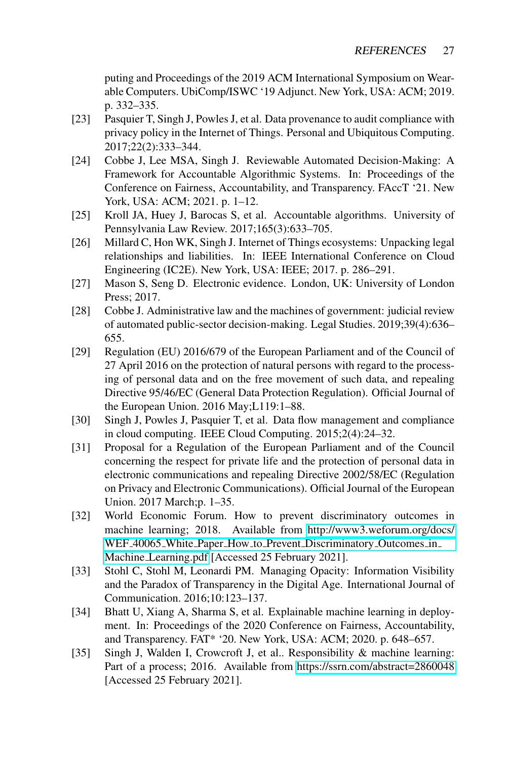puting and Proceedings of the 2019 ACM International Symposium on Wearable Computers. UbiComp/ISWC '19 Adjunct. New York, USA: ACM; 2019. p. 332–335.

- <span id="page-26-0"></span>[23] Pasquier T, Singh J, Powles J, et al. Data provenance to audit compliance with privacy policy in the Internet of Things. Personal and Ubiquitous Computing. 2017;22(2):333–344.
- <span id="page-26-1"></span>[24] Cobbe J, Lee MSA, Singh J. Reviewable Automated Decision-Making: A Framework for Accountable Algorithmic Systems. In: Proceedings of the Conference on Fairness, Accountability, and Transparency. FAccT '21. New York, USA: ACM; 2021. p. 1–12.
- <span id="page-26-2"></span>[25] Kroll JA, Huey J, Barocas S, et al. Accountable algorithms. University of Pennsylvania Law Review. 2017;165(3):633–705.
- <span id="page-26-3"></span>[26] Millard C, Hon WK, Singh J. Internet of Things ecosystems: Unpacking legal relationships and liabilities. In: IEEE International Conference on Cloud Engineering (IC2E). New York, USA: IEEE; 2017. p. 286–291.
- <span id="page-26-4"></span>[27] Mason S, Seng D. Electronic evidence. London, UK: University of London Press; 2017.
- <span id="page-26-5"></span>[28] Cobbe J. Administrative law and the machines of government: judicial review of automated public-sector decision-making. Legal Studies. 2019;39(4):636– 655.
- <span id="page-26-6"></span>[29] Regulation (EU) 2016/679 of the European Parliament and of the Council of 27 April 2016 on the protection of natural persons with regard to the processing of personal data and on the free movement of such data, and repealing Directive 95/46/EC (General Data Protection Regulation). Official Journal of the European Union. 2016 May;L119:1–88.
- <span id="page-26-7"></span>[30] Singh J, Powles J, Pasquier T, et al. Data flow management and compliance in cloud computing. IEEE Cloud Computing. 2015;2(4):24–32.
- <span id="page-26-8"></span>[31] Proposal for a Regulation of the European Parliament and of the Council concerning the respect for private life and the protection of personal data in electronic communications and repealing Directive 2002/58/EC (Regulation on Privacy and Electronic Communications). Official Journal of the European Union. 2017 March;p. 1–35.
- <span id="page-26-9"></span>[32] World Economic Forum. How to prevent discriminatory outcomes in machine learning; 2018. Available from [http://www3.weforum.org/docs/](http://www3.weforum.org/docs/WEF_40065_White_Paper_How_to_Prevent_Discriminatory_Outcomes_in_Machine_Learning.pdf) WEF<sub>-40065</sub>-White\_Paper\_How\_to\_Prevent\_[Discriminatory](http://www3.weforum.org/docs/WEF_40065_White_Paper_How_to_Prevent_Discriminatory_Outcomes_in_Machine_Learning.pdf)\_Outcomes\_in\_ Machine [Learning.pdf](http://www3.weforum.org/docs/WEF_40065_White_Paper_How_to_Prevent_Discriminatory_Outcomes_in_Machine_Learning.pdf) [Accessed 25 February 2021].
- <span id="page-26-10"></span>[33] Stohl C, Stohl M, Leonardi PM. Managing Opacity: Information Visibility and the Paradox of Transparency in the Digital Age. International Journal of Communication. 2016;10:123–137.
- <span id="page-26-11"></span>[34] Bhatt U, Xiang A, Sharma S, et al. Explainable machine learning in deployment. In: Proceedings of the 2020 Conference on Fairness, Accountability, and Transparency. FAT\* '20. New York, USA: ACM; 2020. p. 648–657.
- <span id="page-26-12"></span>[35] Singh J, Walden I, Crowcroft J, et al.. Responsibility & machine learning: Part of a process; 2016. Available from<https://ssrn.com/abstract=2860048> [Accessed 25 February 2021].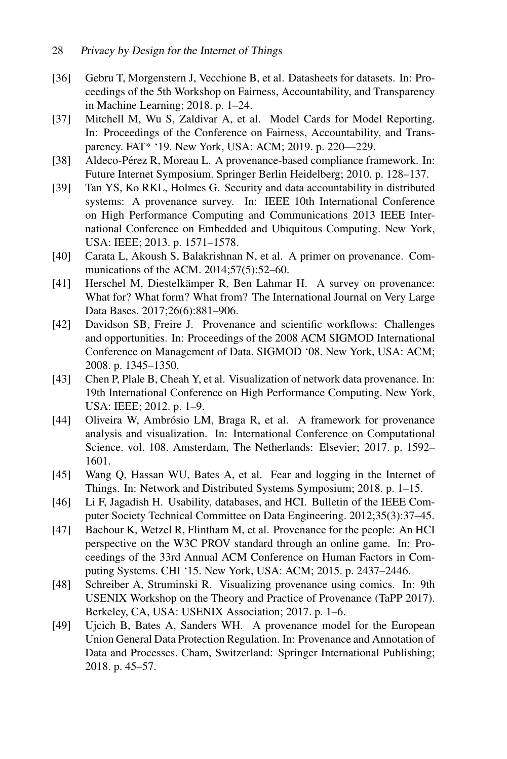- <span id="page-27-0"></span>[36] Gebru T, Morgenstern J, Vecchione B, et al. Datasheets for datasets. In: Proceedings of the 5th Workshop on Fairness, Accountability, and Transparency in Machine Learning; 2018. p. 1–24.
- <span id="page-27-1"></span>[37] Mitchell M, Wu S, Zaldivar A, et al. Model Cards for Model Reporting. In: Proceedings of the Conference on Fairness, Accountability, and Transparency. FAT\* '19. New York, USA: ACM; 2019. p. 220––229.
- <span id="page-27-2"></span>[38] Aldeco-Perez R, Moreau L. A provenance-based compliance framework. In: ´ Future Internet Symposium. Springer Berlin Heidelberg; 2010. p. 128–137.
- <span id="page-27-3"></span>[39] Tan YS, Ko RKL, Holmes G. Security and data accountability in distributed systems: A provenance survey. In: IEEE 10th International Conference on High Performance Computing and Communications 2013 IEEE International Conference on Embedded and Ubiquitous Computing. New York, USA: IEEE; 2013. p. 1571–1578.
- <span id="page-27-4"></span>[40] Carata L, Akoush S, Balakrishnan N, et al. A primer on provenance. Communications of the ACM. 2014;57(5):52–60.
- <span id="page-27-5"></span>[41] Herschel M, Diestelkämper R, Ben Lahmar H. A survey on provenance: What for? What form? What from? The International Journal on Very Large Data Bases. 2017;26(6):881–906.
- <span id="page-27-6"></span>[42] Davidson SB, Freire J. Provenance and scientific workflows: Challenges and opportunities. In: Proceedings of the 2008 ACM SIGMOD International Conference on Management of Data. SIGMOD '08. New York, USA: ACM; 2008. p. 1345–1350.
- <span id="page-27-7"></span>[43] Chen P, Plale B, Cheah Y, et al. Visualization of network data provenance. In: 19th International Conference on High Performance Computing. New York, USA: IEEE; 2012. p. 1–9.
- <span id="page-27-8"></span>[44] Oliveira W, Ambrósio LM, Braga R, et al. A framework for provenance analysis and visualization. In: International Conference on Computational Science. vol. 108. Amsterdam, The Netherlands: Elsevier; 2017. p. 1592– 1601.
- <span id="page-27-9"></span>[45] Wang Q, Hassan WU, Bates A, et al. Fear and logging in the Internet of Things. In: Network and Distributed Systems Symposium; 2018. p. 1–15.
- <span id="page-27-10"></span>[46] Li F, Jagadish H. Usability, databases, and HCI. Bulletin of the IEEE Computer Society Technical Committee on Data Engineering. 2012;35(3):37–45.
- <span id="page-27-11"></span>[47] Bachour K, Wetzel R, Flintham M, et al. Provenance for the people: An HCI perspective on the W3C PROV standard through an online game. In: Proceedings of the 33rd Annual ACM Conference on Human Factors in Computing Systems. CHI '15. New York, USA: ACM; 2015. p. 2437–2446.
- <span id="page-27-12"></span>[48] Schreiber A, Struminski R. Visualizing provenance using comics. In: 9th USENIX Workshop on the Theory and Practice of Provenance (TaPP 2017). Berkeley, CA, USA: USENIX Association; 2017. p. 1–6.
- <span id="page-27-13"></span>[49] Ujcich B, Bates A, Sanders WH. A provenance model for the European Union General Data Protection Regulation. In: Provenance and Annotation of Data and Processes. Cham, Switzerland: Springer International Publishing; 2018. p. 45–57.